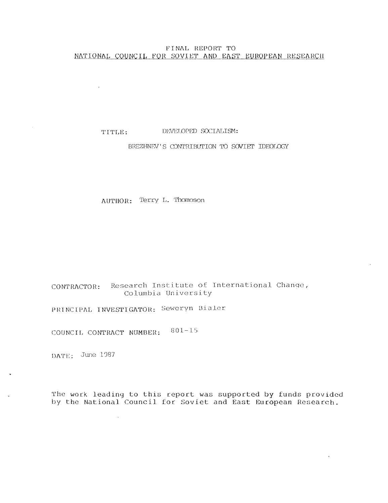# FINAL REPORT TO NATIONAL COUNCIL FOR SOVIET AND EAST EUROPEAN RESEARCH

# TITLE: DEVELOPED SOCIALISM:

# BREZHNEV'S CONTRIBUTION TO SOVIET IDEOLOGY

AUTHOR: Terry L. Thompson

CONTRACTOR: Research Institute of International Change, Columbia University

PRINCIPAL INVESTIGATOR: Seweryn Bialer

COUNCIL CONTRACT NUMBER: 801-15

 $\sim$ 

 $\sim 10^{-10}$ 

DATE: June 1987

The work leading to this report was supported by funds provided by the National Council for Soviet and East European Research .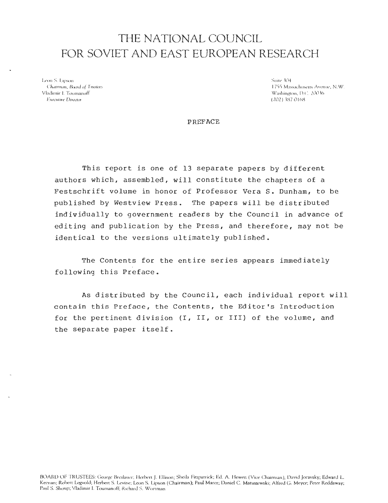# THE NATIONAL COUNCIL FOR SOVIET AND EAST EUROPEAN RESEARCH

Leon S. Lipson Suite (04 - 1755 Mas )<br>Chairman, Roard of Trastees (1755 Mas ) Vladimir I. ToumanoffWashington, 1).C. 20036 Executive Director (202

Chairman, Board of Trustees 1755 Massachusetts Avenue, N.W .

**PREFACE** 

This report is one of  $13$  separate papers by different authors which, assembled, will constitute the chapters of a Festschrift volume in honor of Professor Vera S. Dunham, to be published by Westview Press. The papers will be distributed individually to government readers by the Council in advance of editing and publication by the Press, and therefore, may not be identical to the versions ultimately published .

The Contents for the entire series appears immediately following this Preface .

As distributed by the Council, each individual report will contain this Preface, the Contents, the Editor's Introduction for the pertinent division  $(I, II, or III)$  of the volume, and the separate paper itself .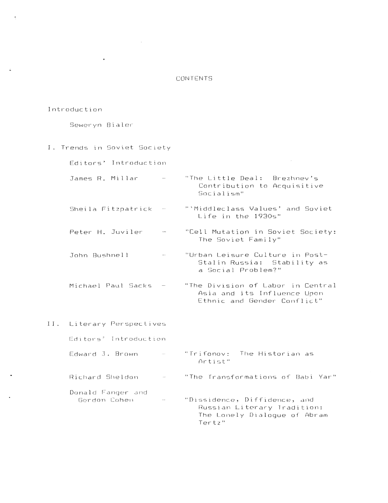# **CONTENTS**

#### Introduction

Seweryn Bialer

 $\mathbf{r}$ 

I. Trends in Soviet Society Editors' Introduction James R. Millar  $\sim$ "The Little Deal: Brezhnev's Contribution to Acquisitive Socialism " Sheila Fitzpatrick - "'Middleclass Values' and Soviet Life in the 1930s" Peter H. Juviler - "Cell Mutation in Soviet Society: The Soviet Family" John Bushnell - "Urban Leisure Culture in Post-Stalin Russia: Stability as a Social Problem? " Michael Paul Sacks - "The Division of Labor in Central Asia and its Influence Upon Ethnic and Gender Conflict" II. Literary Perspectives Editors' Introduction Edward J. Brown - "Trifonov: The Historian as Artist " Richard Sheldon - "The Transformations of Babi Yar" Donald Fanger and Gordon Cohen"Dissidence, Diffidence, and Russian Literary Tradition: The Lonely Dialogue of Abram Tertz "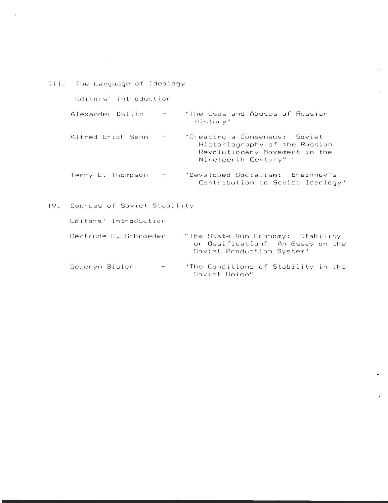|     | III. The Language of Ideology |                             |                                                                                                                          |  |
|-----|-------------------------------|-----------------------------|--------------------------------------------------------------------------------------------------------------------------|--|
|     | Editors' Introduction         |                             |                                                                                                                          |  |
|     | Alexander Dallin              |                             | "The Uses and Abuses of Russian<br>History"                                                                              |  |
|     | Alfred Erich Senn             |                             | "Creating a Consensus: Soviet<br>Historiography of the Russian<br>Revolutionary Movement in the<br>Nineteenth Century" : |  |
|     | Terry L. Thompson             |                             | "Developed Socialism: Brezhnev's<br>Contribution to Soviet Ideology"                                                     |  |
| IV. |                               | Sources of Soviet Stability |                                                                                                                          |  |
|     | Editors' Introduction         |                             |                                                                                                                          |  |
|     | Gertrude E. Schroeder         |                             | - "The State-Run Economy: Stability<br>or Ossification? An Essay on the<br>Soviet Production System"                     |  |
|     | Seweryn Bialer                |                             | "The Conditions of Stability in the<br>Soviet Union"                                                                     |  |

L.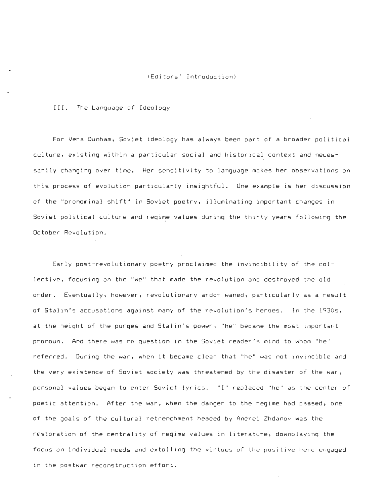#### (Editors' Introduction )

#### III. The Language of Ideology

For Vera Dunham, Soviet ideology has always been part of a broader political culture, existing within a particular social and historical context and necessarily changing over time. Her sensitivity to language makes her observations on this process of evolution particularly insightful. One example is her discussion of the "pronominal shift" in Soviet poetry, illuminating important changes in Soviet political culture and regime values during the thirty years following the October Revolution .

Early post-revolutionary poetry proclaimed the invincibility of the collective, focusing on the "we" that made the revolution and destroyed the old order. Eventually, however, revolutionary ardor waned, particularly as a result of Stalin's accusations against many of the revolution's heroes. In the 1930s, at the height of the purges and Stalin's power, "he" became the most important pronoun. And there was no question in the Soviet reader's mind to whom "he" referred. During the war, when it became clear that "he" was not invincible and the very existence of Soviet society was threatened by the disaster of the war , personal values began to enter Soviet lyrics. "I" replaced "he" as the center of poetic attention. After the war, when the danger to the regime had passed, one of the goals of the cultural retrenchment headed by Andrei Zhdanov was the restoration of the centrality of regime values in literature, downplaying the focus on individual needs and extolling the virtues of the positive hero engaged in the postwar reconstruction effort.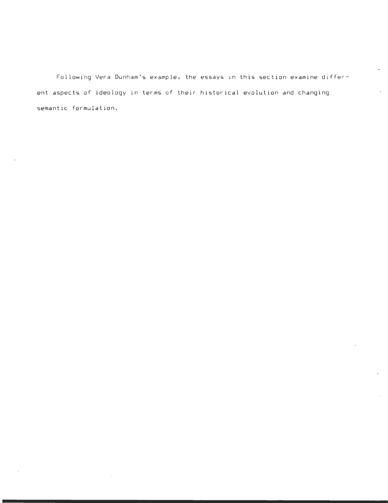Following Vera Dunham's example, the essays in this section examine different aspects of ideology in terms of their historical evolution and changing semantic formulation.

 $\sim$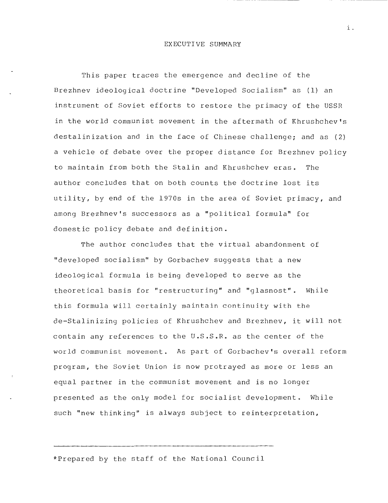#### EXECUTIVE SUMMARY

This paper traces the emergence and decline of the Brezhnev ideological doctrine "Developed Socialism" as (1) an instrument of Soviet efforts to restore the primacy of the USSR in the world communist movement in the aftermath of Khrushchev's destalinization and in the face of Chinese challenge; and as (2) a vehicle of debate over the proper distance for Brezhnev policy to maintain from both the Stalin and Khrushchev eras. The author concludes that on both counts the doctrine lost its utility, by end of the 1970s in the area of Soviet primacy, and among Brezhnev's successors as a "political formula" for domestic policy debate and definition .

The author concludes that the virtual abandonment of "developed socialism" by Gorbachev suggests that a new ideological formula is being developed to serve as the theoretical basis for "restructuring" and "glasnost". While this formula will certainly maintain continuity with the de-Stalinizing policies of Khrushchev and Brezhnev, it will not contain any references to the U.S.S.R. as the center of the world communist movement. As part of Gorbachev's overall reform program, the Soviet Union is now protrayed as more or less an equal partner in the communist movement and is no longer presented as the only model for socialist development. While such "new thinking" is always subject to reinterpretation,

\*Prepared by the staff of the National Council

i -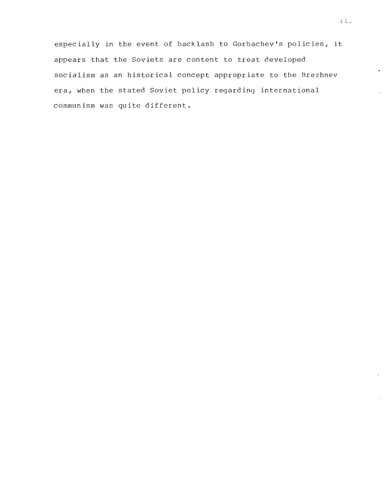especially in the event of backlash to Gorbachev's policies, it appears that the Soviets are content to treat developed socialism as an historical concept appropriate to the Brezhnev era, when the stated Soviet policy regarding international communism was quite different .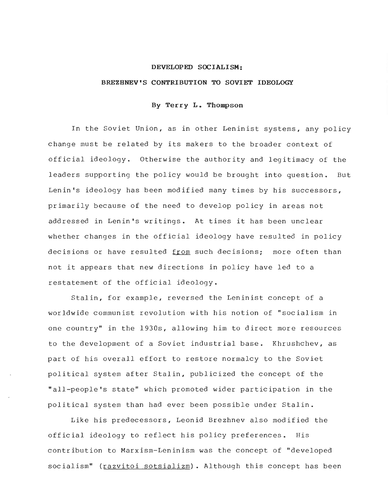## **DEVELOPED SOCIALISM:**

#### BREZHNEV'S CONTRIBUTION TO SOVIET IDEOLOGY

# **By Terry L . Thompson**

In the Soviet Union, as in other Leninist systems, any policy change must be related by its makers to the broader context of official ideology. Otherwise the authority and legitimacy of the leaders supporting the policy would be brought into question. But Lenin's ideology has been modified many times by his successors, primarily because of the need to develop policy in areas not addressed in Lenin's writings. At times it has been unclear whether changes in the official ideology have resulted in policy decisions or have resulted from such decisions; more often than not it appears that new directions in policy have led to a restatement of the official ideology .

Stalin, for example, reversed the Leninist concept of <sup>a</sup> worldwide communist revolution with his notion of "socialism in one country" in the 1930s, allowing him to direct more resources to the development of a Soviet industrial base. Khrushchev, as part of his overall effort to restore normalcy to the Soviet political system after Stalin, publicized the concept of the "all-people's state" which promoted wider participation in the political system than had ever been possible under Stalin .

Like his predecessors, Leonid Brezhnev also modified the official ideology to reflect his policy preferences. His contribution to Marxism-Leninism was the concept of "developed socialism" (razvitoi sotsializm) . Although this concept has been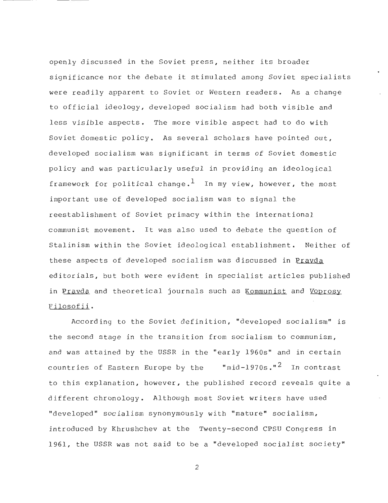openly discussed in the Soviet press, neither its broader significance nor the debate it stimulated among Soviet specialists were readily apparent to Soviet or Western readers. As a change to official ideology, developed socialism had both visible and less visible aspects. The more visible aspect had to do with Soviet domestic policy. As several scholars have pointed out, developed socialism was significant in terms of Soviet domestic policy and was particularly useful in providing an ideological framework for political change.<sup>1</sup> In my view, however, the most important use of developed socialism was to signal the reestablishment of Soviet primacy within the international communist movement. It was also used to debate the question of Stalinism within the Soviet ideological establishment. Neither of these aspects of developed socialism was discussed in Prayda editorials, but both were evident in specialist articles published in Pravda and theoretical journals such as Kommunist and Voprosy Filosofii .

According to the Soviet definition, "developed socialism" is the second stage in the transition from socialism to communism , and was attained by the USSR in the "early 1960s" and in certain countries of Eastern Europe by the  $mid-1970s$ ."<sup>2</sup> In contrast to this explanation, however, the published record reveals quite a different chronology . Although most Soviet writers have used "developed" socialism synonymously with "mature" socialism , introduced by Khrushchev at the Twenty-second CPSU Congress in 1961, the USSR was not said to be a "developed socialist society "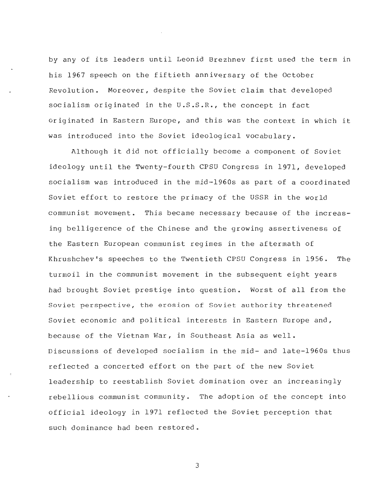by any of its leaders until Leonid Brezhnev first used the term in his 1967 speech on the fiftieth anniversary of the October Revolution. Moreover, despite the Soviet claim that developed socialism originated in the U.S.S.R., the concept in fact originated in Eastern Europe, and this was the context in which it was introduced into the Soviet ideological vocabulary .

Although it did not officially become a component of Soviet ideology until the Twenty-fourth CPSU Congress in 1971, developed socialism was introduced in the mid-1960s as part of a coordinated Soviet effort to restore the primacy of the USSR in the world communist movement. This became necessary because of the increasing belligerence of the Chinese and the growing assertiveness of the Eastern European communist regimes in the aftermath of Khrushchev's speeches to the Twentieth CPSU Congress in 1956. The turmoil in the communist movement in the subsequent eight years had brought Soviet prestige into question. Worst of all from the Soviet perspective, the erosion of Soviet authority threatened Soviet economic and political interests in Eastern Europe and, because of the Vietnam War, in Southeast Asia as well . Discussions of developed socialism in the mid- and late-1960s thus reflected a concerted effort on the part of the new Soviet leadership to reestablish Soviet domination over an increasingly rebellious communist community. The adoption of the concept into official ideology in 1971 reflected the Soviet perception that such dominance had been restored .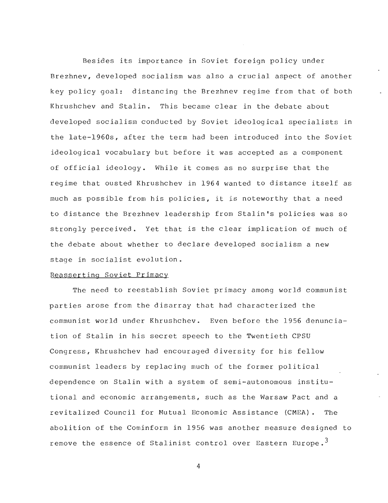Besides its importance in Soviet foreign policy under Brezhnev, developed socialism was also a crucial aspect of another key policy goal: distancing the Brezhnev regime from that of both Khrushchev and Stalin. This became clear in the debate about developed socialism conducted by Soviet ideological specialists in the late-1960s, after the term had been introduced into the Soviet ideological vocabulary but before it was accepted as a component of official ideology. While it comes as no surprise that the regime that ousted Khrushchev in 1964 wanted to distance itself as much as possible from his policies, it is noteworthy that a need to distance the Brezhnev leadership from Stalin's policies was so strongly perceived. Yet that is the clear implication of much of the debate about whether to declare developed socialism a new stage in socialist evolution .

# Reasserting Soviet Primac y

The need to reestablish Soviet primacy among world communist parties arose from the disarray that had characterized the communist world under Khrushchev . Even before the 1956 denunciation of Stalin in his secret speech to the Twentieth CPSU Congress, Khrushchev had encouraged diversity for his fellow communist leaders by replacing much of the former political dependence on Stalin with a system of semi-autonomous institutional and economic arrangements, such as the Warsaw Pact and <sup>a</sup> revitalized Council for Mutual Economic Assistance (CMEA). The abolition of the Cominform in 1956 was another measure designed to remove the essence of Stalinist control over Eastern Europe.<sup>3</sup>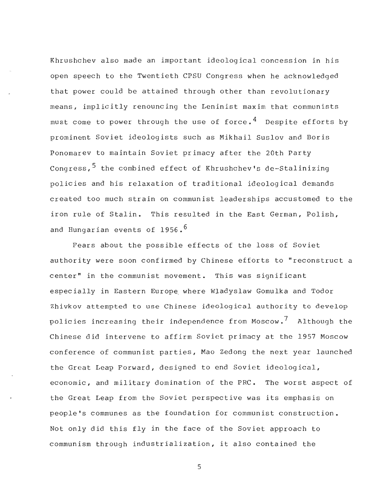Khrushchev also made an important ideological concession in his open speech to the Twentieth CPSU Congress when he acknowledged that power could be attained through other than revolutionary means, implicitly renouncing the Leninist maxim that communists must come to power through the use of force.<sup>4</sup> Despite efforts by prominent Soviet ideologists such as Mikhail Suslov and Boris Ponomarev to maintain Soviet primacy after the 20th Party Congress,  $5$  the combined effect of Khrushchev's de-Stalinizing policies and his relaxation of traditional ideological demands created too much strain on communist leaderships accustomed to the iron rule of Stalin. This resulted in the East German, Polish, and Hungarian events of 1956.<sup>6</sup>

Fears about the possible effects of the loss of Soviet authority were soon confirmed by Chinese efforts to "reconstruct a center" in the communist movement. This was significant especially in Eastern Europe where Wladyslaw Gomulka and Todor Zhivkov attempted to use Chinese ideological authority to develop policies increasing their independence from Moscow.<sup>7</sup> Although the Chinese did intervene to affirm Soviet primacy at the 1957 Moscow conference of communist parties, Mao Zedong the next year launched the Great Leap Forward, designed to end Soviet ideological , economic, and military domination of the PRC. The worst aspect of the Great Leap from the Soviet perspective was its emphasis on people's communes as the foundation for communist construction . Not only did this fly in the face of the Soviet approach to communism through industrialization, it also contained the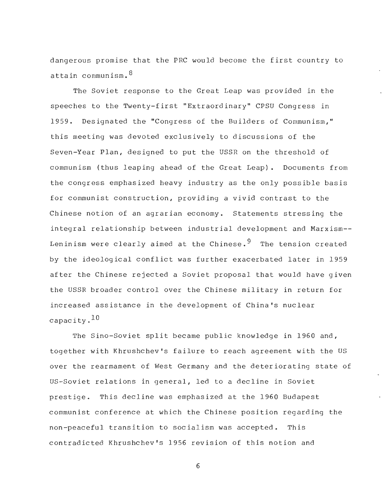dangerous promise that the PRC would become the first country to attain communism.  $8<sup>8</sup>$ 

The Soviet response to the Great Leap was provided in the speeches to the Twenty-first "Extraordinary" CPSU Congress in 1959 . Designated the "Congress of the Builders of Communism, " this meeting was devoted exclusively to discussions of the Seven-Year Plan, designed to put the USSR on the threshold of communism (thus leaping ahead of the Great Leap). Documents from the congress emphasized heavy industry as the only possible basis for communist construction, providing a vivid contrast to the Chinese notion of an agrarian economy. Statements stressing the integral relationship between industrial development and Marxism--Leninism were clearly aimed at the Chinese.<sup>9</sup> The tension created by the ideological conflict was further exacerbated later in 1959 after the Chinese rejected a Soviet proposal that would have given the USSR broader control over the Chinese military in return for increased assistance in the development of China's nuclear capacity. $^{10}$ 

The Sino-Soviet split became public knowledge in 1960 and, together with Khrushchev's failure to reach agreement with the US over the rearmament of West Germany and the deteriorating state of US-Soviet relations in general, led to a decline in Soviet prestige. This decline was emphasized at the 1960 Budapest communist conference at which the Chinese position regarding the non-peaceful transition to socialism was accepted. This contradicted Khrushchev's 1956 revision of this notion and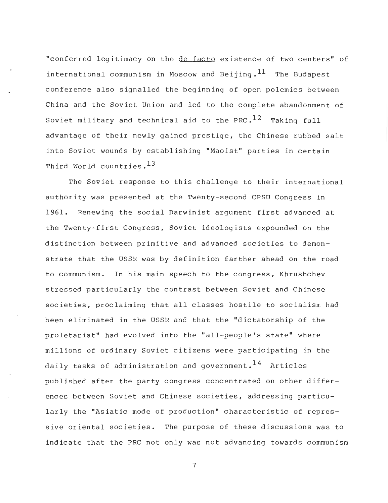"conferred legitimacy on the de facto existence of two centers" of international communism in Moscow and Beijing.  $^{11}$  The Budapest conference also signalled the beginning of open polemics between China and the Soviet Union and led to the complete abandonment of Soviet military and technical aid to the PRC.<sup>12</sup> Taking full advantage of their newly gained prestige, the Chinese rubbed salt into Soviet wounds by establishing "Maoist" parties in certain Third World countries. $^{13}$ 

The Soviet response to this challenge to their international authority was presented at the Twenty-second CPSU Congress in 1961. Renewing the social Darwinist argument first advanced at the Twenty-first Congress, Soviet ideologists expounded on the distinction between primitive and advanced societies to demonstrate that the USSR was by definition farther ahead on the road to communism. In his main speech to the congress, Khrushchev stressed particularly the contrast between Soviet and Chinese societies, proclaiming that all classes hostile to socialism had been eliminated in the USSR and that the "dictatorship of the proletariat" had evolved into the "all-people's state" where millions of ordinary Soviet citizens were participating in the daily tasks of administration and government.  $^{14}$  Articles published after the party congress concentrated on other differences between Soviet and Chinese societies, addressing particularly the "Asiatic mode of production" characteristic of repressive oriental societies. The purpose of these discussions was to indicate that the PRC not only was not advancing towards communism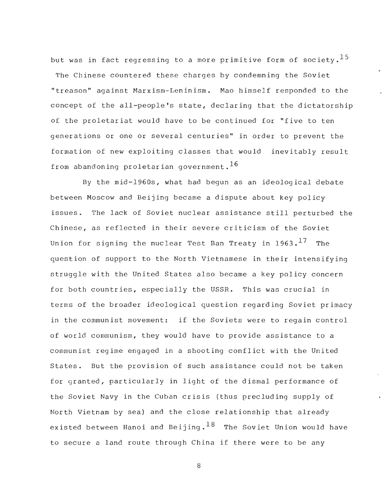but was in fact regressing to a more primitive form of society.  $^{15}$ The Chinese countered these charges by condemning the Soviet "treason" against Marxism-Leninism. Mao himself responded to the concept of the all-people's state, declaring that the dictatorship of the proletariat would have to be continued for "five to ten generations or one or several centuries" in order to prevent the formation of new exploiting classes that would inevitably result from abandoning proletarian government.<sup>16</sup>

By the  $mid-1960s$ , what had begun as an ideological debate between Moscow and Beijing became a dispute about key policy issues. The lack of Soviet nuclear assistance still perturbed the Chinese, as reflected in their severe criticism of the Soviet Union for signing the nuclear Test Ban Treaty in 1963.<sup>17</sup> The question of support to the North Vietnamese in their intensifying struggle with the United States also became a key policy concern for both countries, especially the USSR. This was crucial in terms of the broader ideological question regarding Soviet primacy in the communist movement: if the Soviets were to regain control of world communism, they would have to provide assistance to a communist regime engaged in a shooting conflict with the United States. But the provision of such assistance could not be taken for granted, particularly in light of the dismal performance of the Soviet Navy in the Cuban crisis (thus precluding supply of North Vietnam by sea) and the close relationship that already existed between Hanoi and Beijing.  $^{18}$  The Soviet Union would have to secure a land route through China if there were to be any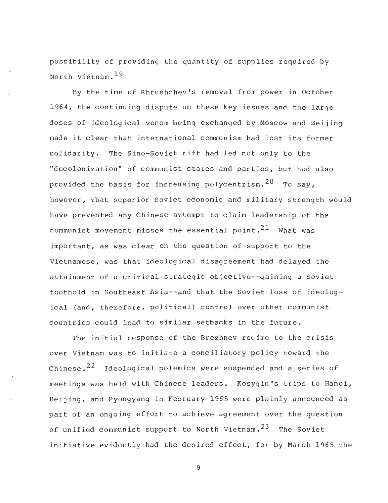possibility of providing the quantity of supplies required by North Vietnam,  $^{19}$ 

By the time of Khrushchev's removal from power in October 1964, the continuing dispute on these key issues and the large doses of ideological venom being exchanged by Moscow and Beijing made it clear that international communism had lost its former solidarity. The Sino-Soviet rift had led not only to the "decolonization" of communist states and parties, but had also provided the basis for increasing polycentrism.  $20$  To say, however, that superior Soviet economic and military strength would have prevented any Chinese attempt to claim leadership of the communist movement misses the essential point.  $21$  What was important, as was clear on the question of support to the Vietnamese, was that ideological disagreement had delayed the attainment of a critical strategic objective--gaining a Soviet foothold in Southeast Asia--and that the Soviet loss of ideological (and, therefore, political) control over other communist countries could lead to similar setbacks in the future .

The initial response of the Brezhnev regime to the crisis over Vietnam was to initiate a conciliatory policy toward the Chinese.<sup>22</sup> Ideological polemics were suspended and a series of meetings was held with Chinese leaders. Kosygin's trips to Hanoi, Beijing, and Pyongyang in February 1965 were plainly announced as part of an ongoing effort to achieve agreement over the question of unified communist support to North Vietnam.<sup>23</sup> The Soviet initiative evidently had the desired effect, for by March 1965 the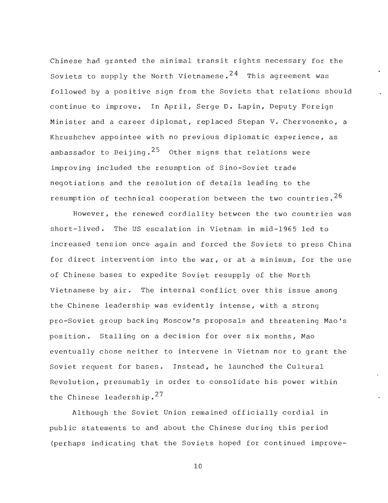Chinese had granted the minimal transit rights necessary for the Soviets to supply the North Vietnamese.<sup>24</sup> This agreement was followed by a positive sign from the Soviets that relations should continue to improve. In April, Serge D. Lapin, Deputy Foreign Minister and a career diplomat, replaced Stepan V. Chervonenko, a Khrushchev appointee with no previous diplomatic experience, as ambassador to Beijing.<sup>25</sup> Other signs that relations were improving included the resumption of Sino-Soviet trade negotiations and the resolution of details leading to the resumption of technical cooperation between the two countries.  $26$ 

However, the renewed cordiality between the two countries was short-lived. The US escalation in Vietnam in mid-1965 led to increased tension once again and forced the Soviets to press China for direct intervention into the war, or at a minimum, for the use of Chinese bases to expedite Soviet resupply of the North Vietnamese by air. The internal conflict over this issue among the Chinese leadership was evidently intense, with a strong pro-Soviet group backing Moscow's proposals and threatening Mao's position. Stalling on a decision for over six months, Mao eventually chose neither to intervene in Vietnam nor to grant the Soviet request for bases. Instead, he launched the Cultural Revolution, presumably in order to consolidate his power within the Chinese leadership. $27$ 

Although the Soviet Union remained officially cordial in public statements to and about the Chinese during this period (perhaps indicating that the Soviets hoped for continued improve -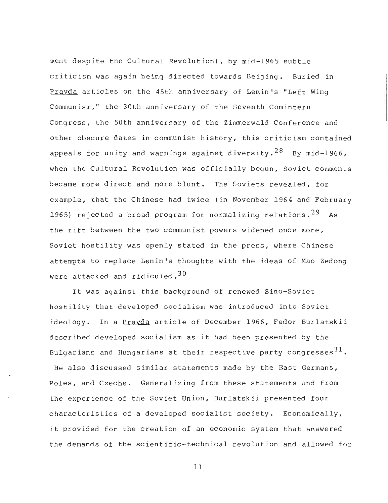ment despite the Cultural Revolution), by mid-1965 subtle criticism was again being directed towards Beijing. Buried in Prayda articles on the 45th anniversary of Lenin's "Left Wing Communism," the 30th anniversary of the Seventh Comintern Congress, the 50th anniversary of the Zimmerwald Conference and other obscure dates in communist history, this criticism contained appeals for unity and warnings against diversity.  $28$  By mid-1966, when the Cultural Revolution was officially begun, Soviet comments became more direct and more blunt. The Soviets revealed, for example, that the Chinese had twice (in November 1964 and February 1965) rejected a broad program for normalizing relations.  $29$  As the rift between the two communist powers widened once more , Soviet hostility was openly stated in the press, where Chinese attempts to replace Lenin's thoughts with the ideas of Mao Zedong were attacked and ridiculed.  $30<sup>30</sup>$ 

It was against this background of renewed Sino-Soviet hostility that developed socialism was introduced into Soviet ideology. In a Pravda article of December 1966, Fedor Burlatskii described developed socialism as it had been presented by the Bulgarians and Hungarians at their respective party congresses $^{31}$ . He also discussed similar statements made by the East Germans , Poles, and Czechs. Generalizing from these statements and from the experience of the Soviet Union, Burlatskii presented four characteristics of a developed socialist society. Economically, it provided for the creation of an economic system that answered the demands of the scientific-technical revolution and allowed for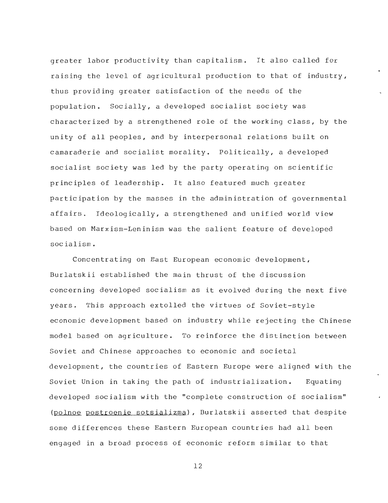greater labor productivity than capitalism. It also called for raising the level of agricultural production to that of industry, thus providing greater satisfaction of the needs of the population. Socially, a developed socialist society was characterized by a strengthened role of the working class, by the unity of all peoples, and by interpersonal relations built on camaraderie and socialist morality. Politically, a developed socialist society was led by the party operating on scientific principles of leadership. It also featured much greater participation by the masses in the administration of governmental affairs. Ideologically, a strengthened and unified world view based on Marxism-Leninism was the salient feature of developed socialism .

Concentrating on East European economic development , Burlatskii established the main thrust of the discussion concerning developed socialism as it evolved during the next five years. This approach extolled the virtues of Soviet-style economic development based on industry while rejecting the Chinese model based on agriculture. To reinforce the distinction between Soviet and Chinese approaches to economic and societal development, the countries of Eastern Europe were aligned with the Soviet Union in taking the path of industrialization. Equating developed socialism with the "complete construction of socialism " (polnoe postroenie sotsializma), Burlatskii asserted that despite some differences these Eastern European countries had all been engaged in a broad process of economic reform similar to that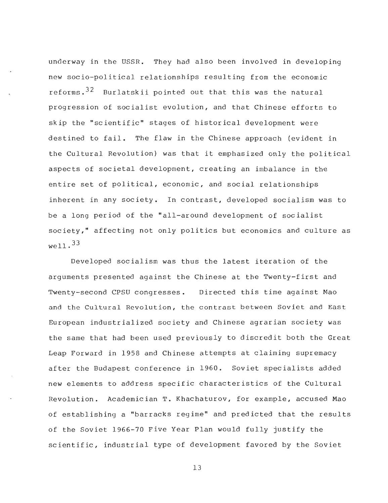underway in the USSR. They had also been involved in developing new socio-political relationships resulting from the economic reforms.  $32$  Burlatskii pointed out that this was the natural progression of socialist evolution, and that Chinese efforts to skip the "scientific" stages of historical development were destined to fail. The flaw in the Chinese approach (evident in the Cultural Revolution) was that it emphasized only the political aspects of societal development, creating an imbalance in the entire set of political, economic, and social relationships inherent in any society. In contrast, developed socialism was to be a long period of the "all-around development of socialist society," affecting not only politics but economics and culture as  $w^{011}$ . 33

Developed socialism was thus the latest iteration of the arguments presented against the Chinese at the Twenty-first and Twenty-second CPSU congresses. Directed this time against Mao and the Cultural Revolution, the contrast between Soviet and East European industrialized society and Chinese agrarian society was the same that had been used previously to discredit both the Great Leap Forward in 1958 and Chinese attempts at claiming supremacy after the Budapest conference in 1960 . Soviet specialists added new elements to address specific characteristics of the Cultural Revolution. Academician T. Khachaturov, for example, accused Mao of establishing a "barracks regime" and predicted that the results of the Soviet 1966-70 Five Year Plan would fully justify the scientific, industrial type of development favored by the Soviet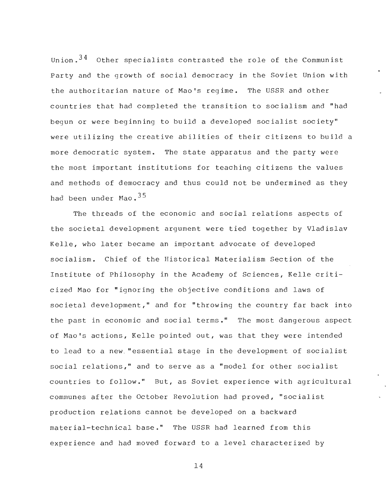Union. $34$  Other specialists contrasted the role of the Communist Party and the growth of social democracy in the Soviet Union with the authoritarian nature of Mao's regime. The USSR and other countries that had completed the transition to socialism and "had begun or were beginning to build a developed socialist society " were utilizing the creative abilities of their citizens to build a more democratic system. The state apparatus and the party were the most important institutions for teaching citizens the values and methods of democracy and thus could not be undermined as they had been under Mao.<sup>35</sup>

The threads of the economic and social relations aspects of the societal development argument were tied together by Vladislav Kelle, who later became an important advocate of developed socialism. Chief of the Historical Materialism Section of the Institute of Philosophy in the Academy of Sciences, Kelle criticized Mao for "ignoring the objective conditions and laws of societal development," and for "throwing the country far back into the past in economic and social terms." The most dangerous aspect of Mao's actions, Kelle pointed out, was that they were intended to lead to a new "essential stage in the development of socialist social relations," and to serve as a "model for other socialist countries to follow." But, as Soviet experience with agricultural communes after the October Revolution had proved, "socialist production relations cannot be developed on a backward material-technical base." The USSR had learned from this experience and had moved forward to a level characterized by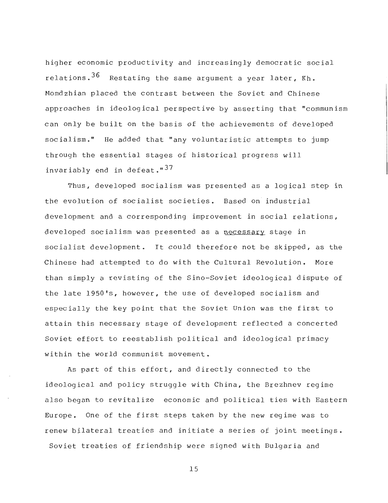higher economic productivity and increasingly democratic social relations.  $36$  Restating the same argument a year later, Kh. Momdzhian placed the contrast between the Soviet and Chinese approaches in ideological perspective by asserting that "communism can only be built on the basis of the achievements of developed socialism ." He added that "any voluntaristic attempts to jump through the essential stages of historical progress will invariably end in defeat."<sup>37</sup>

Thus, developed socialism was presented as a logical step in the evolution of socialist societies. Based on industrial development and a corresponding improvement in social relations , developed socialism was presented as a necessary stage in socialist development. It could therefore not be skipped, as the Chinese had attempted to do with the Cultural Revolution. More than simply a revisting of the Sino-Soviet ideological dispute of the late 1950's, however, the use of developed socialism and especially the key point that the Soviet Union was the first to attain this necessary stage of development reflected a concerted Soviet effort to reestablish political and ideological primacy within the world communist movement.

As part of this effort, and directly connected to the ideological and policy struggle with China, the Brezhnev regime also began to revitalize economic and political ties with Eastern Europe. One of the first steps taken by the new regime was to renew bilateral treaties and initiate a series of joint meetings . Soviet treaties of friendship were signed with Bulgaria and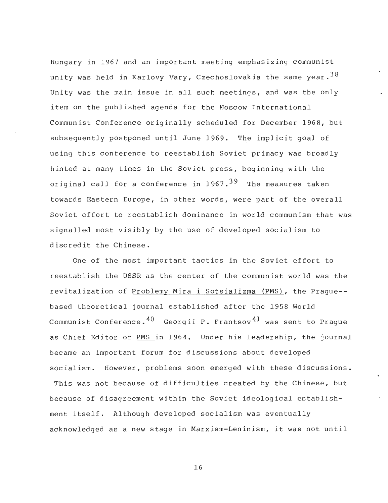Hungary in 1967 and an important meeting emphasizing communist unity was held in Karlovy Vary, Czechoslovakia the same year.  $38$ Unity was the main issue in all such meetings, and was the only item on the published agenda for the Moscow International Communist Conference originally scheduled for December 1968, bu <sup>t</sup> subsequently postponed until June 1969. The implicit goal of using this conference to reestablish Soviet primacy was broadly hinted at many times in the Soviet press, beginning with the original call for a conference in  $1967.^{39}$  The measures taken towards Eastern Europe, in other words, were part of the overall Soviet effort to reestablish dominance in world communism that was signalled most visibly by the use of developed socialism to discredit the Chinese .

One of the most important tactics in the Soviet effort to reestablish the USSR as the center of the communist world was the revitalization of Problemy Mira i Sotsializma (PMS), the Prague-based theoretical journal established after the 1958 World Communist Conference.  $40$  Georgii P. Frantsov  $41$  was sent to Prague as Chief Editor of PMS in 1964. Under his leadership, the journal became an important forum for discussions about developed socialism. However, problems soon emerged with these discussions.

This was not because of difficulties created by the Chinese, but because of disagreement within the Soviet ideological establishment itself. Although developed socialism was eventually acknowledged as a new stage in Marxism-Leninism, it was not until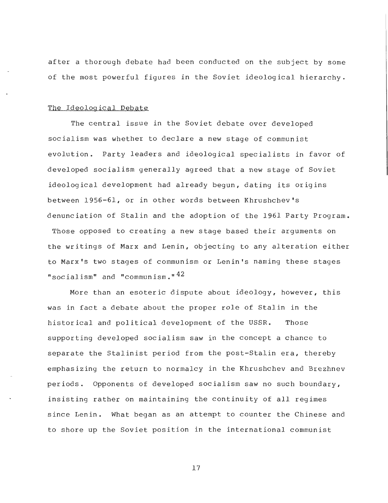after a thorough debate had been conducted on the subject by some of the most powerful figures in the Soviet ideological hierarchy .

#### The Ideological Debate

The central issue in the Soviet debate over developed socialism was whether to declare a new stage of communist evolution. Party leaders and ideological specialists in favor of developed socialism generally agreed that a new stage of Soviet ideological development had already begun, dating its origins between 1956-61, or in other words between Khrushchev's denunciation of Stalin and the adoption of the 1961 Party Program .

Those opposed to creating a new stage based their arguments on the writings of Marx and Lenin, objecting to any alteration either to Marx's two stages of communism or Lenin's naming these stages "socialism" and "communism." $42$ 

More than an esoteric dispute about ideology, however, this was in fact a debate about the proper role of Stalin in the historical and political development of the USSR. Those supporting developed socialism saw in the concept a chance to separate the Stalinist period from the post-Stalin era, thereby emphasizing the return to normalcy in the Khrushchev and Brezhnev periods . Opponents of developed socialism saw no such boundary , insisting rather on maintaining the continuity of all regimes since Lenin. What began as an attempt to counter the Chinese and to shore up the Soviet position in the international communist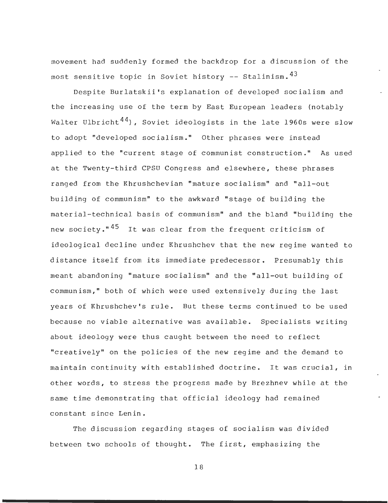movement had suddenly formed the backdrop for a discussion of the most sensitive topic in Soviet history  $-$ - Stalinism.  $43$ 

Despite Burlatskii's explanation of developed socialism and the increasing use of the term by East European leaders (notably Walter Ulbricht<sup>44</sup>), Soviet ideologists in the late 1960s were slow to adopt "developed socialism." Other phrases were instead applied to the "current stage of communist construction ." As used at the Twenty-third CPSU Congress and elsewhere, these phrases ranged from the Khrushchevian "mature socialism" and "all-out building of communism" to the awkward "stage of building the material-technical basis of communism" and the bland "building the new society."<sup>45</sup> It was clear from the frequent criticism of ideological decline under Khrushchev that the new regime wanted to distance itself from its immediate predecessor. Presumably this meant abandoning "mature socialism" and the "all-out building of communism," both of which were used extensively during the last years of Khrushchev's rule. But these terms continued to be used because no viable alternative was available. Specialists writing about ideology were thus caught between the need to reflect "creatively" on the policies of the new regime and the demand to maintain continuity with established doctrine. It was crucial, in other words, to stress the progress made by Brezhnev while at the same time demonstrating that official ideology had remained constant since Lenin .

The discussion regarding stages of socialism was divided between two schools of thought. The first, emphasizing the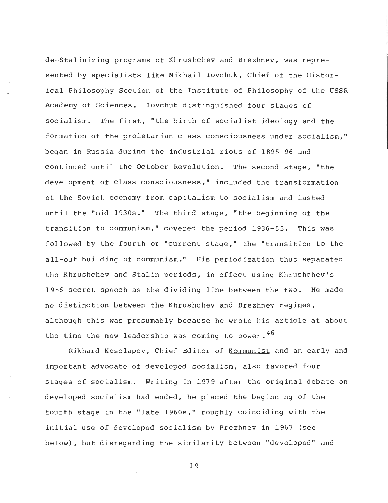de-Stalinizing programs of Khrushchev and Brezhnev, was represented by specialists like Mikhail Iovchuk, Chief of the Historical Philosophy Section of the Institute of Philosophy of the USSR Academy of Sciences. Iovchuk distinguished four stages of socialism. The first, "the birth of socialist ideology and the formation of the proletarian class consciousness under socialism, " began in Russia during the industrial riots of 1895-96 and continued until the October Revolution. The second stage, "the development of class consciousness," included the transformation of the Soviet economy from capitalism to socialism and lasted until the "mid-1930s." The third stage, "the beginning of the transition to communism," covered the period 1936-55. This was followed by the fourth or "current stage," the "transition to the all-out building of communism." His periodization thus separated the Khrushchev and Stalin periods, in effect using Khrushchev's 1956 secret speech as the dividing line between the two. He made no distinction between the Khrushchev and Brezhnev regimes , although this was presumably because he wrote his article at about the time the new leadership was coming to power.  $46$ 

Rikhard Kosolapov, Chief Editor of Kommunist and an early and important advocate of developed socialism, also favored four stages of socialism. Writing in 1979 after the original debate on developed socialism had ended, he placed the beginning of the fourth stage in the "late 1960s," roughly coinciding with the initial use of developed socialism by Brezhnev in 1967 (see below), but disregarding the similarity between "developed" and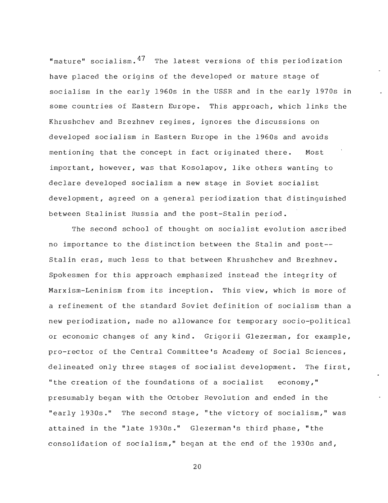"mature" socialism.  $47$  The latest versions of this periodization have placed the origins of the developed or mature stage of socialism in the early 1960s in the USSR and in the early 1970s in some countries of Eastern Europe. This approach, which links the Khrushchev and Brezhnev regimes, ignores the discussions on developed socialism in Eastern Europe in the 1960s and avoids mentioning that the concept in fact originated there. Most important, however, was that Kosolapov, like others wanting to declare developed socialism a new stage in Soviet socialist development, agreed on a general periodization that distinguished between Stalinist Russia and the post-Stalin period .

The second school of thought on socialist evolution ascribed no importance to the distinction between the Stalin and post--Stalin eras, much less to that between Khrushchev and Brezhnev . Spokesmen for this approach emphasized instead the integrity of Marxism-Leninism from its inception. This view, which is more of a refinement of the standard Soviet definition of socialism than <sup>a</sup> new periodization, made no allowance for temporary socio-political or economic changes of any kind . Grigorii Glezerman, for example , pro-rector of the Central Committee's Academy of Social Sciences , delineated only three stages of socialist development. The first, "the creation of the foundations of a socialist economy, " presumably began with the October Revolution and ended in the "early 1930s." The second stage, "the victory of socialism," was attained in the "late 1930s." Glezerman's third phase, "the consolidation of socialism," began at the end of the 1930s and ,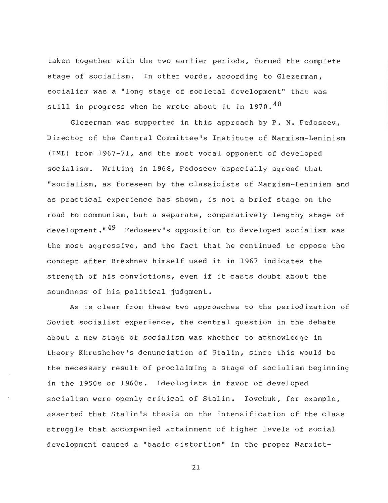taken together with the two earlier periods, formed the complete stage of socialism. In other words, according to Glezerman, socialism was a "long stage of societal development" that was still in progress when he wrote about it in  $1970.^{48}$ 

Glezerman was supported in this approach by P. N. Fedoseev, Director of the Central Committee's Institute of Marxism-Leninism (IML) from 1967-71, and the most vocal opponent of developed socialism. Writing in 1968, Fedoseev especially agreed that "socialism, as foreseen by the classicists of Marxism-Leninism and as practical experience has shown, is not a brief stage on the road to communism, but a separate, comparatively lengthy stage of development." $49$  Fedoseev's opposition to developed socialism was the most aggressive, and the fact that he continued to oppose the concept after Brezhnev himself used it in 1967 indicates the strength of his convictions, even if it casts doubt about the soundness of his political judgment .

As is clear from these two approaches to the periodization of Soviet socialist experience, the central question in the debate about a new stage of socialism was whether to acknowledge in theory Khrushchev's denunciation of Stalin, since this would be the necessary result of proclaiming a stage of socialism beginning in the 1950s or 1960s. Ideologists in favor of developed socialism were openly critical of Stalin. Iovchuk, for example, asserted that Stalin's thesis on the intensification of the class struggle that accompanied attainment of higher levels of social development caused a "basic distortion" in the proper Marxist-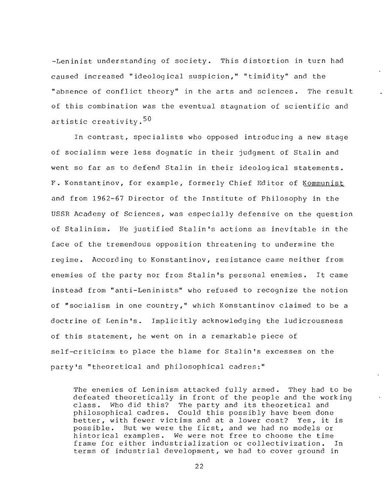-Leninist understanding of society. This distortion in turn had caused increased "ideological suspicion," "timidity" and the "absence of conflict theory" in the arts and sciences. The result of this combination was the eventual stagnation of scientific and artistic creativity.<sup>50</sup>

In contrast, specialists who opposed introducing a new stage of socialism were less dogmatic in their judgment of Stalin and went so far as to defend Stalin in their ideological statements. F. Konstantinov, for example, formerly Chief Editor of Kommunist and from 1962-67 Director of the Institute of Philosophy in the USSR Academy of Sciences, was especially defensive on the question of Stalinism. He justified Stalin's actions as inevitable in the face of the tremendous opposition threatening to undermine the regime. According to Konstantinov, resistance came neither from enemies of the party nor from Stalin's personal enemies. It came instead from "anti-Leninists" who refused to recognize the notion of "socialism in one country," which Konstantinov claimed to be a doctrine of Lenin's. Implicitly acknowledging the ludicrousness of this statement, he went on in a remarkable piece of self-criticism to place the blame for Stalin's excesses on the party's "theoretical and philosophical cadres : "

The enemies of Leninism attacked fully armed. They had to be defeated theoretically in front of the people and the working class. Who did this? The party and its theoretical and philosophical cadres. Could this possibly have been done better, with fewer victims and at a lower cost? Yes, it is possible. But we were the first, and we had no models or historical examples. We were not free to choose the time frame for either industrialization or collectivization. In terms of industrial development, we had to cover ground in

 $22^{2}$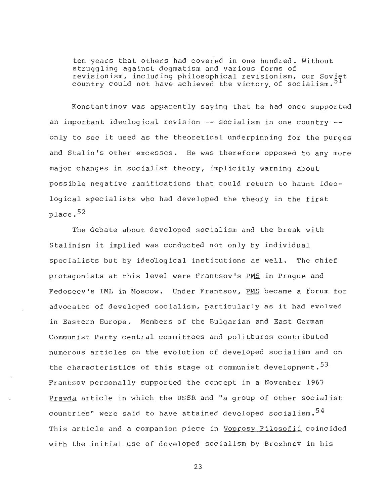ten years that others had covered in one hundred. Without struggling against dogmatism and various forms of revisionism, including philosophical revisionism, our Soviet country could not have achieved the victory of socialism.<sup>51</sup>

Konstantinov was apparently saying that he had once supported an important ideological revision  $-$ - socialism in one country  $-$ only to see it used as the theoretical underpinning for the purges and Stalin's other excesses. He was therefore opposed to any more major changes in socialist theory, implicitly warning about possible negative ramifications that could return to haunt ideological specialists who had developed the theory in the first place. $52$ 

The debate about developed socialism and the break with Stalinism it implied was conducted not only by individual specialists but by ideological institutions as well. The chief protagonists at this level were Frantsov's PMS in Prague and Fedoseev's IML in Moscow. Under Frantsov, PMS became a forum for advocates of developed socialism, particularly as it had evolved in Eastern Europe. Members of the Bulgarian and East German Communist Party central committees and politburos contributed numerous articles on the evolution of developed socialism and on the characteristics of this stage of communist development.<sup>53</sup> Frantsov personally supported the concept in a November 1967 Pravda article in which the USSR and "a group of other socialist countries" were said to have attained developed socialism.<sup>54</sup> This article and a companion piece in Voprosy Filosofii coincided with the initial use of developed socialism by Brezhnev in his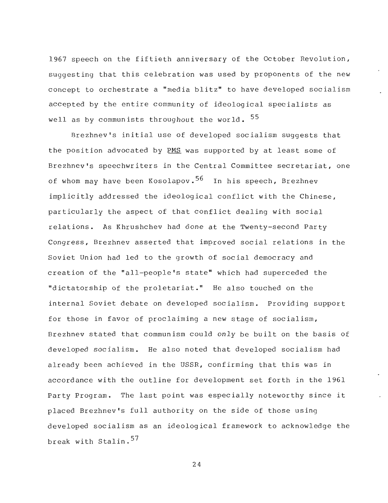1967 speech on the fiftieth anniversary of the October Revolution , suggesting that this celebration was used by proponents of the new concept to orchestrate a "media blitz" to have developed socialism accepted by the entire community of ideological specialists as well as by communists throughout the world.  $55$ 

Brezhnev's initial use of developed socialism suggests that the position advocated by PMS was supported by at least some of Brezhnev's speechwriters in the Central Committee secretariat, one of whom may have been Kosolapov.<sup>56</sup> In his speech, Brezhnev implicitly addressed the ideological conflict with the Chinese, particularly the aspect of that conflict dealing with social relations. As Khrushchev had done at the Twenty-second Party Congress, Brezhnev asserted that improved social relations in the Soviet Union had led to the growth of social democracy and creation of the "all-people's state" which had superceded the "dictatorship of the proletariat." He also touched on the internal Soviet debate on developed socialism. Providing support for those in favor of proclaiming a new stage of socialism, Brezhnev stated that communism could only be built on the basis of developed socialism . He also noted that developed socialism had already been achieved in the USSR, confirming that this was in accordance with the outline for development set forth in the 1961 Party Program. The last point was especially noteworthy since it placed Brezhnev's full authority on the side of those using developed socialism as an ideological framework to acknowledge the break with Stalin.<sup>57</sup>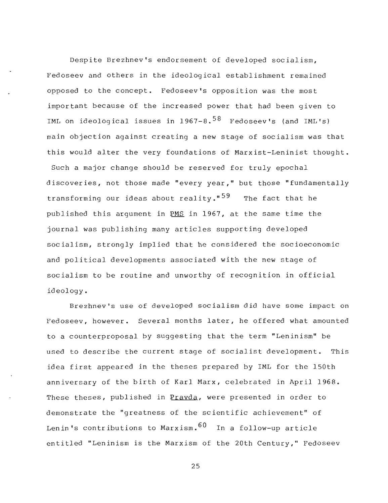Despite Brezhnev's endorsement of developed socialism , Fedoseev and others in the ideological establishment remained opposed to the concept. Fedoseev's opposition was the most important because of the increased power that had been given to IML on ideological issues in  $1967-8.^{58}$  Fedoseev's (and IML's) main objection against creating a new stage of socialism was that this would alter the very foundations of Marxist-Leninist thought . Such a major change should be reserved for truly epochal discoveries, not those made "every year," but those "fundamentally transforming our ideas about reality."<sup>59</sup> The fact that he published this argument in PMS in 1967, at the same time the journal was publishing many articles supporting developed socialism, strongly implied that he considered the socioeconomic and political developments associated with the new stage of socialism to be routine and unworthy of recognition in official ideology .

Brezhnev's use of developed socialism did have some impact on Fedoseev, however. Several months later, he offered what amounted to a counterproposal by suggesting that the term "Leninism" be used to describe the current stage of socialist development. This idea first appeared in the theses prepared by IML for the 150th anniversary of the birth of Karl Marx, celebrated in April 1968 . These theses, published in Prayda, were presented in order to demonstrate the "greatness of the scientific achievement" of Lenin's contributions to Marxism.  $60$  In a follow-up article entitled "Leninism is the Marxism of the 20th Century," Fedoseev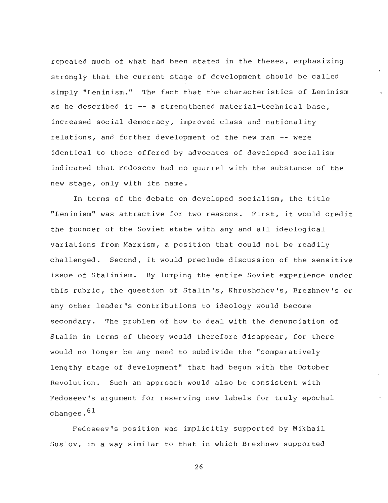repeated much of what had been stated in the theses, emphasizing strongly that the current stage of development should be called simply "Leninism." The fact that the characteristics of Leninism as he described it  $-$ - a strengthened material-technical base, increased social democracy, improved class and nationality relations, and further development of the new man -- were identical to those offered by advocates of developed socialism indicated that Fedoseev had no quarrel with the substance of the new stage, only with its name .

In terms of the debate on developed socialism, the title "Leninism" was attractive for two reasons. First, it would credit the founder of the Soviet state with any and all ideological variations from Marxism, a position that could not be readily challenged. Second, it would preclude discussion of the sensitive issue of Stalinism. By lumping the entire Soviet experience under this rubric, the question of Stalin's, Khrushchev's, Brezhnev's or any other leader's contributions to ideology would become secondary. The problem of how to deal with the denunciation of Stalin in terms of theory would therefore disappear, for there would no longer be any need to subdivide the "comparatively lengthy stage of development" that had begun with the October Revolution. Such an approach would also be consistent with Fedoseev's argument for reserving new labels for truly epochal changes.  $61$ 

Fedoseev's position was implicitly supported by Mikhail Suslov, in a way similar to that in which Brezhnev supported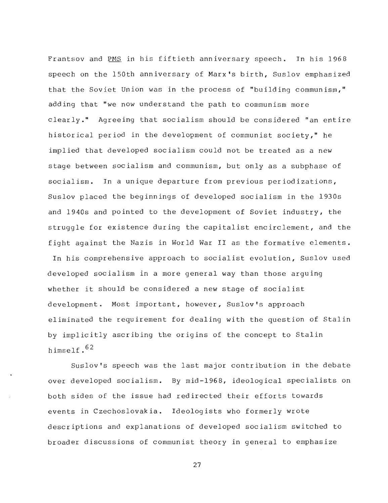Frantsov and PMS in his fiftieth anniversary speech. In his 1968 speech on the 150th anniversary of Marx's birth, Suslov emphasized that the Soviet Union was in the process of "building communism, " adding that "we now understand the path to communism more clearly." Agreeing that socialism should be considered "an entire historical period in the development of communist society," he implied that developed socialism could not be treated as a new stage between socialism and communism, but only as a subphase of socialism. In a unique departure from previous periodizations, Suslov placed the beginnings of developed socialism in the 1930s and 1940s and pointed to the development of Soviet industry, the struggle for existence during the capitalist encirclement, and the fight against the Nazis in World War II as the formative elements .

In his comprehensive approach to socialist evolution, Suslov used developed socialism in a more general way than those arguing whether it should be considered a new stage of socialist development. Most important, however, Suslov's approach eliminated the requirement for dealing with the question of Stalin by implicitly ascribing the origins of the concept to Stalin himself. $62$ 

Suslov's speech was the last major contribution in the debate over developed socialism. By mid-1968, ideological specialists on both sides of the issue had redirected their efforts towards events in Czechoslovakia. Ideologists who formerly wrote descriptions and explanations of developed socialism switched to broader discussions of communist theory in general to emphasize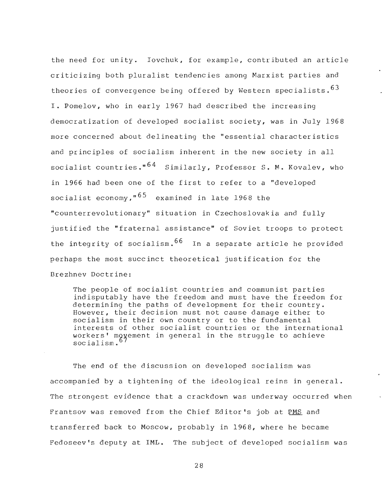the need for unity. Iovchuk, for example, contributed an article criticizing both pluralist tendencies among Marxist parties and theories of convergence being offered by Western specialists.  $63$ I. Pomelov, who in early 1967 had described the increasing democratization of developed socialist society, was in July 196 <sup>8</sup> more concerned about delineating the "essential characteristics and principles of socialism inherent in the new society in all socialist countries." $64$  Similarly, Professor S. M. Kovalev, who in 1966 had been one of the first to refer to a "developed socialist economy," $65$  examined in late 1968 the "counterrevolutionary" situation in Czechoslovakia and fully justified the "fraternal assistance" of Soviet troops to protect the integrity of socialism.  $66$  In a separate article he provided perhaps the most succinct theoretical justification for the Brezhnev Doctrine :

The people of socialist countries and communist parties indisputably have the freedom and must have the freedom for determining the paths of development for their country . However, their decision must not cause damage either to socialism in their own country or to the fundamental interests of other socialist countries or the international workers' moyement in general in the struggle to achieve socialism.<sup>b/</sup>

The end of the discussion on developed socialism was accompanied by a tightening of the ideological reins in general . The strongest evidence that a crackdown was underway occurred when Frantsov was removed from the Chief Editor's job at PMS and transferred back to Moscow, probably in 1968, where he became Fedoseev's deputy at IML. The subject of developed socialism was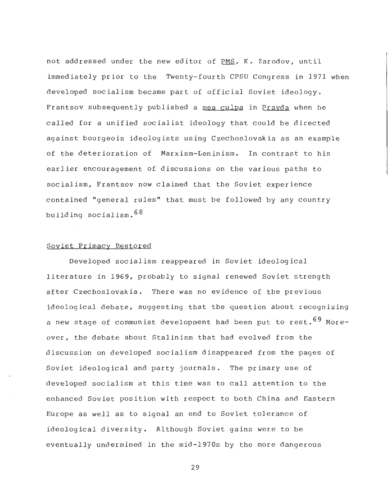not addressed under the new editor of PMS, K. Zarodov, until immediately prior to the Twenty-fourth CPSU Congress in 1971 when developed socialism became part of official Soviet ideology . Frantsov subsequently published a mea culpa in Pravda when he called for a unified socialist ideology that could be directed against bourgeois ideologists using Czechoslovakia as an example of the deterioration of Marxism-Leninism. In contrast to his earlier encouragement of discussions on the various paths to socialism, Frantsov now claimed that the Soviet experience contained "general rules" that must be followed by any country building socialism. 68

#### Soviet Primacy Restored

Developed socialism reappeared in Soviet ideological literature in 1969, probably to signal renewed Soviet strength after Czechoslovakia. There was no evidence of the previous ideological debate, suggesting that the question about recognizing a new stage of communist development had been put to rest.  $69$  Moreover, the debate about Stalinism that had evolved from the discussion on developed socialism disappeared from the pages of Soviet ideological and party journals. The primary use of developed socialism at this time was to call attention to the enhanced Soviet position with respect to both China and Eastern Europe as well as to signal an end to Soviet tolerance of ideological diversity. Although Soviet gains were to be eventually undermined in the mid-1970s by the more dangerous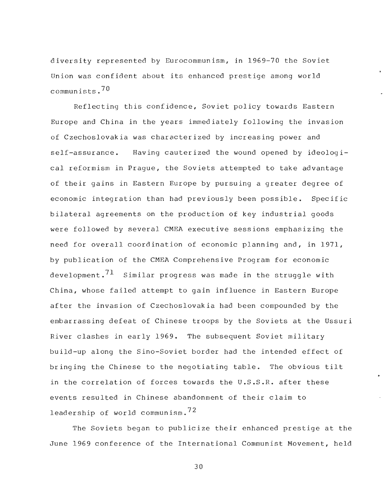diversity represented by Eurocommunism, in 1969-70 the Soviet Union was confident about its enhanced prestige among world communists . <sup>7</sup> <sup>0</sup>

Reflecting this confidence, Soviet policy towards Eastern Europe and China in the years immediately following the invasion of Czechoslovakia was characterized by increasing power and self-assurance. Having cauterized the wound opened by ideological reformism in Prague, the Soviets attempted to take advantage of their gains in Eastern Europe by pursuing a greater degree of economic integration than had previously been possible. Specific bilateral agreements on the production of key industrial goods were followed by several CMEA executive sessions emphasizing the need for overall coordination of economic planning and, in 1971 , by publication of the CMEA Comprehensive Program for economic development.<sup>71</sup> Similar progress was made in the struggle with China, whose failed attempt to gain influence in Eastern Europe after the invasion of Czechoslovakia had been compounded by the embarrassing defeat of Chinese troops by the Soviets at the Ussuri River clashes in early 1969. The subsequent Soviet military build-up along the Sino-Soviet border had the intended effect of bringing the Chinese to the negotiating table. The obvious tilt in the correlation of forces towards the U.S.S.R. after these events resulted in Chinese abandonment of their claim to leadership of world communism. $72$ 

The Soviets began to publicize their enhanced prestige at the June 1969 conference of the International Communist Movement, held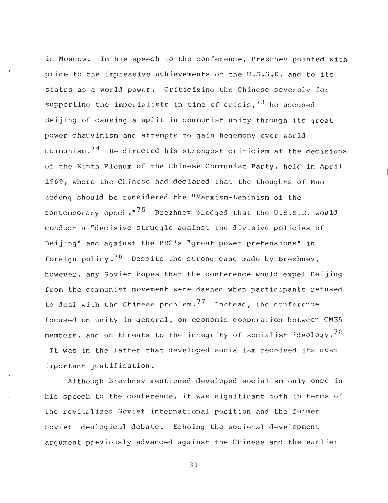in Moscow. In his speech to the conference, Brezhnev pointed with pride to the impressive achievements of the U.S.S.R. and to its status as a world power. Criticizing the Chinese severely for supporting the imperialists in time of crisis.<sup>73</sup> he accused Beijing of causing a split in communist unity through its great power chauvinism and attempts to gain hegemony over world communism. $74$  He directed his strongest criticism at the decisions of the Ninth Plenum of the Chinese Communist Party, held in April 1969, where the Chinese had declared that the thoughts of Mao Zedong should be considered the "Marxism-Leninism of the contemporary epoch." $75$  Brezhnev pledged that the U.S.S.R. would conduct a "decisive struggle against the divisive policies of Beijing" and against the PRC's "great power pretensions" in foreign policy.<sup>76</sup> Despite the strong case made by Brezhnev, however, any Soviet hopes that the conference would expel Beijing from the communist movement were dashed when participants refused to deal with the Chinese problem.<sup>77</sup> Instead, the conference focused on unity in general, on economic cooperation between CMEA members, and on threats to the integrity of socialist ideology.<sup>78</sup> It was in the latter that developed socialism received its most

important justification .

Although Brezhnev mentioned developed socialism only once in his speech to the conference, it was significant both in terms of the revitalized Soviet international position and the former Soviet ideological debate. Echoing the societal development argument previously advanced against the Chinese and the earlier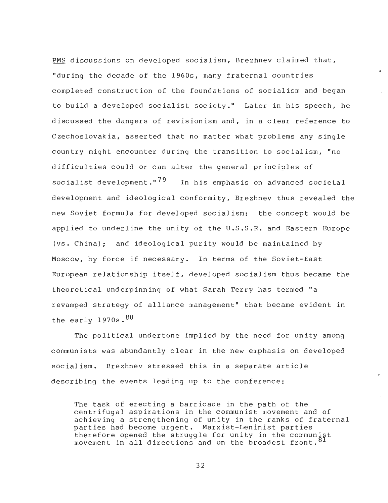PMS discussions on developed socialism, Brezhnev claimed that, "during the decade of the 1960s, many fraternal countries completed construction of the foundations of socialism and began to build a developed socialist society." Later in his speech, he discussed the dangers of revisionism and, in a clear reference to Czechoslovakia, asserted that no matter what problems any single country might encounter during the transition to socialism, "no difficulties could or can alter the general principles of socialist development."<sup>79</sup> In his emphasis on advanced societal development and ideological conformity, Brezhnev thus revealed the new Soviet formula for developed socialism: the concept would be applied to underline the unity of the U.S.S.R. and Eastern Europe (vs . China) ; and ideological purity would be maintained by Moscow, by force if necessary. In terms of the Soviet-East European relationship itself, developed socialism thus became the theoretical underpinning of what Sarah Terry has termed " <sup>a</sup> revamped strategy of alliance management" that became evident in the early  $1970s.^{80}$ 

The political undertone implied by the need for unity among communists was abundantly clear in the new emphasis on developed socialism. Brezhnev stressed this in a separate article describing the events leading up to the conference:

The task of erecting a barricade in the path of the centrifugal aspirations in the communist movement and of achieving a strengthening of unity in the ranks of fraternal parties had become urgent. Marxist-Leninist parties therefore opened the struggle for unity in the communist movement in all directions and on the  $\bar{b}$  roadest front.<sup>8</sup>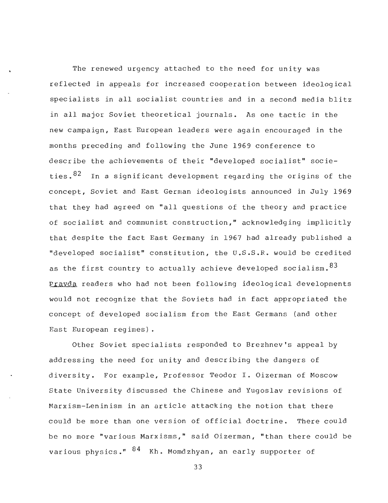The renewed urgency attached to the need for unity was reflected in appeals for increased cooperation between ideological specialists in all socialist countries and in a second media blitz in all major Soviet theoretical journals. As one tactic in the new campaign, East European leaders were again encouraged in the months preceding and following the June 1969 conference to describe the achievements of their "developed socialist" societies.  $82$  In a significant development regarding the origins of the concept, Soviet and East German ideologists announced in July 1969 that they had agreed on "all questions of the theory and practice of socialist and communist construction," acknowledging implicitly that despite the fact East Germany in 1967 had already published a "developed socialist" constitution, the U.S.S.R. would be credited as the first country to actually achieve developed socialism.  $83$ Pravda readers who had not been following ideological developments would not recognize that the Soviets had in fact appropriated the concept of developed socialism from the East Germans (and other East European regimes) .

Other Soviet specialists responded to Brezhnev's appeal by addressing the need for unity and describing the dangers of diversity. For example, Professor Teodor I. Oizerman of Moscow State University discussed the Chinese and Yugoslav revisions of Marxism-Leninism in an article attacking the notion that there could be more than one version of official doctrine. There could be no more "various Marxisms," said Oizerman, "than there could be various physics."  $84$  Kh. Momdzhyan, an early supporter of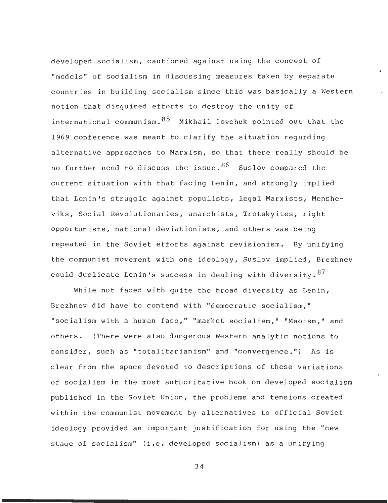developed socialism, cautioned against using the concept of "models" of socialism in discussing measures taken by separate countries in building socialism since this was basically a Western notion that disquised efforts to destroy the unity of international communism.  $85$  Mikhail Iovchuk pointed out that the 1969 conference was meant to clarify the situation regarding alternative approaches to Marxism, so that there really should be no further need to discuss the issue.  $86$  Suslov compared the current situation with that facing Lenin, and strongly implied that Lenin's struggle against populists, legal Marxists, Mensheviks, Social Revolutionaries, anarchists, Trotskyites, right opportunists, national deviationists, and others was being repeated in the Soviet efforts against revisionism. By unifying the communist movement with one ideology, Suslov implied, Brezhnev could duplicate Lenin's success in dealing with diversity.  $87$ 

While not faced with quite the broad diversity as Lenin, Brezhnev did have to contend with "democratic socialism, " "socialism with a human face," "market socialism," "Maoism," and others. (There were also dangerous Western analytic notions to consider, such as "totalitarianism" and "convergence.") As is clear from the space devoted to descriptions of these variations of socialism in the most authoritative book on developed socialism published in the Soviet Union, the problems and tensions created within the communist movement by alternatives to official Soviet ideology provided an important justification for using the "new stage of socialism" (i.e. developed socialism) as a unifying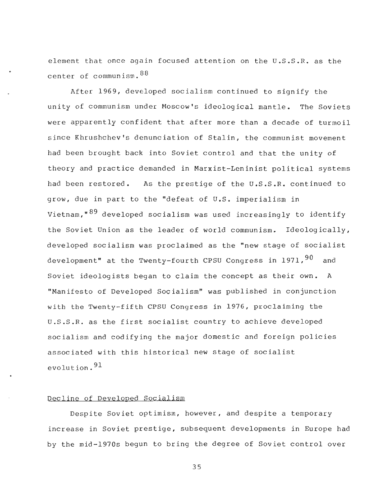element that once again focused attention on the U.S.S.R. as the center of communism. 88

After 1969, developed socialism continued to signify the unity of communism under Moscow's ideological mantle. The Soviets were apparently confident that after more than a decade of turmoil since Khrushchev's denunciation of Stalin, the communist movement had been brought back into Soviet control and that the unity of theory and practice demanded in Marxist-Leninist political systems had been restored. As the prestige of the U.S.S.R. continued to grow, due in part to the "defeat of U.S. imperialism in Vietnam,  $89$  developed socialism was used increasingly to identify the Soviet Union as the leader of world communism. Ideologically, developed socialism was proclaimed as the "new stage of socialist development" at the Twenty-fourth CPSU Congress in 1971,  $90$  and Soviet ideologists began to claim the concept as their own. A "Manifesto of Developed Socialism" was published in conjunction with the Twenty-fifth CPSU Congress in 1976, proclaiming the U .S .S .R . as the first socialist country to achieve developed socialism and codifying the major domestic and foreign policies associated with this historical new stage of socialist evolution.  $91$ 

#### Decline of Developed Socialism

Despite Soviet optimism, however, and despite a temporary increase in Soviet prestige, subsequent developments in Europe had by the mid-1970s begun to bring the degree of Soviet control over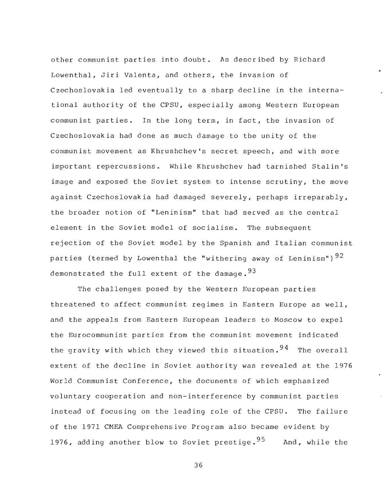other communist parties into doubt. As described by Richard Lowenthal, Jiri Valenta, and others, the invasion of Czechoslovakia led eventually to a sharp decline in the international authority of the CPSU, especially among Western European communist parties. In the long term, in fact, the invasion of Czechoslovakia had done as much damage to the unity of the communist movement as Khrushchev's secret speech, and with more important repercussions. While Khrushchev had tarnished Stalin's image and exposed the Soviet system to intense scrutiny, the move against Czechoslovakia had damaged severely, perhaps irreparably , the broader notion of "Leninism" that had served as the central element in the Soviet model of socialism. The subsequent rejection of the Soviet model by the Spanish and Italian communist parties (termed by Lowenthal the "withering away of Leninism")  $92$ demonstrated the full extent of the damage.  $93$ 

The challenges posed by the Western European parties threatened to affect communist regimes in Eastern Europe as well , and the appeals from Eastern European leaders to Moscow to expel the Eurocommunist parties from the communist movement indicated the gravity with which they viewed this situation.  $94$  The overall extent of the decline in Soviet authority was revealed at the 1976 World Communist Conference, the documents of which emphasized voluntary cooperation and non-interference by communist parties instead of focusing on the leading role of the CPSU. The failure of the 1971 CMEA Comprehensive Program also became evident by 1976, adding another blow to Soviet prestige. $^{95}$  And, while the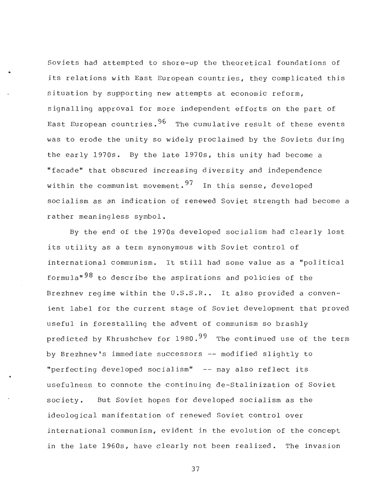Soviets had attempted to shore-up the theoretical foundations of its relations with East European countries, they complicated this situation by supporting new attempts at economic reform , signalling approval for more independent efforts on the part of East European countries.  $96$  The cumulative result of these events was to erode the unity so widely proclaimed by the Soviets during the early 1970s. By the late 1970s, this unity had become a "facade" that obscured increasing diversity and independence within the communist movement.  $97$  In this sense, developed socialism as an indication of renewed Soviet strength had become <sup>a</sup> rather meaningless symbol .

By the end of the 1970s developed socialism had clearly lost its utility as a term synonymous with Soviet control of international communism. It still had some value as a "political formula<sup>"98</sup> to describe the aspirations and policies of the Brezhnev regime within the U.S.S.R.. It also provided a convenient label for the current stage of Soviet development that proved useful in forestalling the advent of communism so brashly predicted by Khrushchev for  $1980.^{99}$  The continued use of the term by Brezhnev's immediate successors -- modified slightly to "perfecting developed socialism" -- may also reflect its usefulness to connote the continuing de-Stalinization of Soviet society. But Soviet hopes for developed socialism as the ideological manifestation of renewed Soviet control over international communism, evident in the evolution of the concept in the late 1960s, have clearly not been realized. The invasion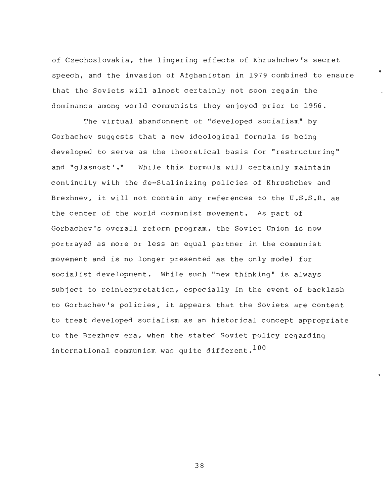of Czechoslovakia, the lingering effects of Khrushchev's secret speech, and the invasion of Afghanistan in 1979 combined to ensure that the Soviets will almost certainly not soon regain the dominance among world communists they enjoyed prior to 1956 .

The virtual abandonment of "developed socialism" by Gorbachev suggests that a new ideological formula is being developed to serve as the theoretical basis for "restructuring " and "glasnost'." While this formula will certainly maintain continuity with the de-Stalinizing policies of Khrushchev and Brezhnev, it will not contain any references to the U.S.S.R. as the center of the world communist movement. As part of Gorbachev's overall reform program, the Soviet Union is now portrayed as more or less an equal partner in the communist movement and is no longer presented as the only model for socialist development. While such "new thinking" is always subject to reinterpretation, especially in the event of backlash to Gorbachev's policies, it appears that the Soviets are content to treat developed socialism as an historical concept appropriate to the Brezhnev era, when the stated Soviet policy regarding international communism was quite different.  $100$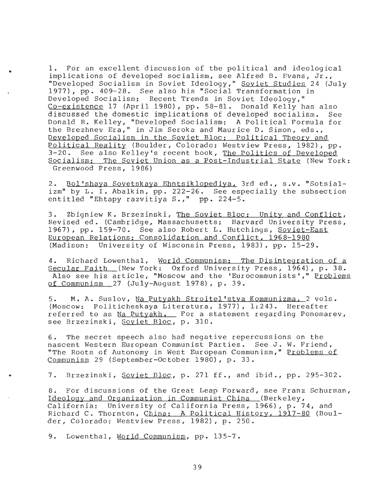1. For an excellent discussion of the political and ideological implications of developed socialism, see Alfred B. Evans, Jr., "Developed Socialism in Soviet Ideology," <u>Soviet Studies</u> 24 (July 1977), pp . 409-28 . See also his "Social Transformation in Developed Socialism: Recent Trends in Soviet Ideology," Co-existence 17 (April 1980), pp. 58-81. Donald Kelly has also discussed the domestic implications of developed socialism. See Donald R. Kelley, "Developed Socialism: A Political Formula for the Brezhnev Era," in Jim Seroka and Maurice D. Simon, eds., Developed Socialism in the Soviet Bloc: Political Theory and Political Reality (Boulder, Colorado: Westview Press, 1982), pp. 3-20. See also Kelley's recent book, The Politics of Developed Socialism: The Soviet Union as a Post-Industrial State (New York: Greenwood Press, 1986 )

2. Bol'shaya Sovetskaya Ehntsiklopediya, 3rd ed., s.v. "Sotsializm" by L. I. Abalkin, pp. 222-26. See especially the subsection entitled "Ehtapy razvitiya  $S_{\bullet}$ ," pp. 224-5.

3. Zbigniew K. Brzezinski, The Soviet Bloc: Unity and Conflict, Revised ed. (Cambridge, Massachusetts: Harvard University Press, 1967), pp. 159-70. See also Robert L. Hutchings, Soviet-East European Relations: Consolidation and Conflict, 1968-1980 (Madison: University of Wisconsin Press, 1983), pp. 15-29.

4. Richard Lowenthal, World Communism: The Disintegration of a Secular Faith (New York: Oxford University Press, 1964), p. 38. Also see his article, "Moscow and the 'Eurocommunists'," Problems of Communism 27 (July-August 1978), p. 39.

5. M. A. Suslov, Na Putyakh Stroitel'stya Kommunizma, 2 vols. (Moscow: Politicheskaya Literatura, 1977), 1:243. Hereafter referred to as Na Putyakh. For a statement regarding Ponomarev, see Brzezinski, Soviet Bloc, p. 310.

6. The secret speech also had negative repercussions on the nascent Western European Communist Parties. See J. W. Friend, "The Roots of Autonomy in West European Communism," Problems of Communism 29 (September-October 1980), p. 33.

7. Brzezinski, Soviet Bloc, p. 271 ff., and ibid., pp. 295-302.

8. For discussions of the Great Leap Forward, see Franz Schurman , Ideology and Organization in Communist China (Berkeley , California: University of California Press, 1966), p. 74, and Richard C. Thornton, China: A Political History, 1917-80 (Boulder, Colorado: Westview Press, 1982), p. 250.

9. Lowenthal, World Communism, pp. 135-7.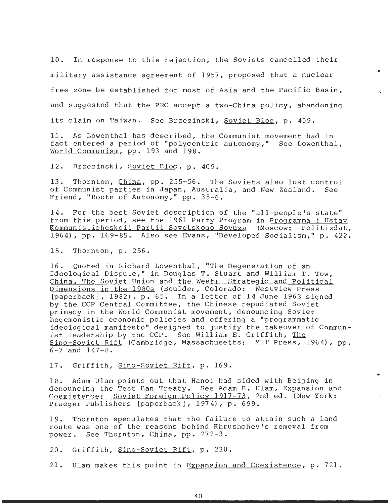10. In response to this rejection, the Soviets cancelled their military assistance agreement of  $1957$ , proposed that a nuclear free zone be established for most of Asia and the Pacific Basin, and suggested that the PRC accept a two-China policy, abandoning its claim on Taiwan. See Brzezinski, Soviet Bloc, p. 409.

11. As Lowenthal has described, the Communist movement had in fact entered a period of "polycentric autonomy," See Lowenthal , World Communism, pp. 193 and 198.

12. Brzezinski, Soviet Bloc, p. 409.

13. Thornton, China, pp. 255-56. The Soviets also lost control of Communist parties in Japan, Australia, and New Zealand. See Friend, "Roots of Autonomy," pp. 35-6.

14. For the best Soviet description of the "all-people's state " from this period, see the 1961 Party Program in Programma i Ustay Kommunisticheskoii Partii Sovetskogo Sovuza (Moscow: Politizdat, 1964), pp. 169-85. Also see Evans, "Developed Socialism," p. 422.

15. Thornton, p. 256.

16. Quoted in Richard Lowenthal, "The Degeneration of an Ideological Dispute," in Douglas T. Stuart and William T. Tow, China, The Soviet Union and the West: Strategic and Political Dimensions in the 1980s (Boulder, Colorado: Westview Press [paperback], 1982), p. 65. In a letter of 14 June 1963 signed by the CCP Central Committee, the Chinese repudiated Soviet primacy in the World Communist movement, denouncing Soviet hegemonistic economic policies and offering a "programmatic ideological manifesto" designed to justify the takeover of Communist leadership by the CCP. See William E. Griffith, The Sino-Soviet Rift (Cambridge, Massachusetts: MIT Press, 1964), pp. 6-7 and 147-8.

17. Griffith, Sino-Soviet Rift, p. 169.

18. Adam Ulam points out that Hanoi had sided with Beijing in denouncing the Test Ban Treaty. See Adam B. Ulam, Expansion and Coexistence: Soviet Foreign Policy 1917-73, 2nd ed. (New York: Praeger Publishers [paperback], 1974), p. 699.

19. Thornton speculates that the failure to attain such a land route was one of the reasons behind Khrushchev's removal from power. See Thornton, China, pp. 272-3.

20. Griffith, Sino-Soviet Rift, p. 230.

21. Ulam makes this point in Expansion and Coexistence, p. 721.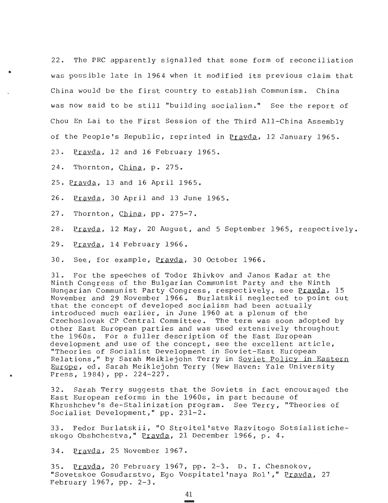22. The PRC apparently signalled that some form of reconciliation was possible late in 1964 when it modified its previous claim that China would be the first country to establish Communism. China was now said to be still "building socialism." See the report of Chou En Lai to the First Session of the Third All-China Assembly of the People's Republic, reprinted in Pravda, 12 January 1965.

23. Pravda, 12 and 16 February 1965.

 $24.$  Thornton, China, p. 275.

25. Pravda, 13 and 16 April 1965 .

26. Pravda, 30 April and 13 June 1965 .

27. Thornton, China, pp. 275-7.

28. Pravda, 12 May, 20 August, and 5 September 1965, respectively .

29. Pravda, 14 February 1966 .

30. See, for example, Pravda, 30 October 1966 .

31. For the speeches of Todor Zhivkov and Janos Kadar at the Ninth Congress of the Bulgarian Communist Party and the Ninth Hungarian Communist Party Congress, respectively, see Prayda, 15 November and 29 November 1966. Burlatskii neglected to point out that the concept of developed socialism had been actually introduced much earlier, in June 1960 at a plenum of the Czechoslovak CP Central Committee. The term was soon adopted by other East European parties and was used extensively throughout the 1960s. For a fuller description of the East European development and use of the concept, see the excellent article , "Theories of Socialist Development in Soviet-East European Relations," by Sarah Meiklejohn Terry in Soviet Policy in Eastern Europe, ed. Sarah Meiklejohn Terry (New Haven: Yale University Press, 1984), pp. 224-227.

32. Sarah Terry suggests that the Soviets in fact encouraged the East European reforms in the 1960s, in part because of Khrushchev's de-Stalinization program. See Terry, "Theories of Socialist Development," pp. 231-2.

33. Fedor Burlatskii, "O Stroitel'stve Razvitogo Sotsialisticheskogo Obshchestva," Pravda, 21 December 1966, p. 4.

34. Pravda, 25 November 1967 .

35. Prayda, 20 February 1967, pp. 2-3. D. I. Chesnokov, "Sovetskoe Gosudarstvo, Ego Vospitatel'naya Rol', " Pravda, 27 February 1967, pp.  $2-3$ .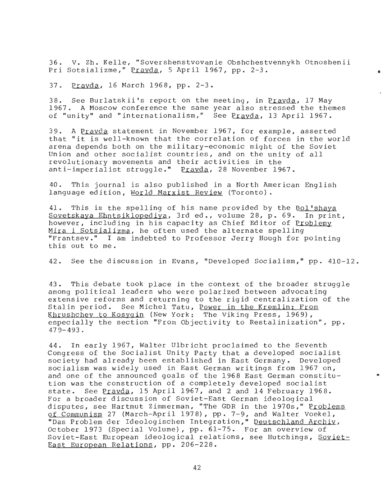36. V. Zh. Kelle, "Sovershenstvovanie Obshchestvennykh Otnoshenii Pri Sotsializme," Prayda, 5 April 1967, pp. 2-3.

37. Prayda, 16 March 1968, pp. 2-3.

38. See Burlatskii's report on the meeting, in Pravda, 17 May 1967. A Moscow conference the same year also stressed the themes of "unity" and "internationalism," See Pravda, 13 April 1967 .

39. A Pravda statement in November 1967, for example, asserted that "it is well-known that the correlation of forces in the world arena depends both on the military-economic might of the Soviet Union and other socialist countries, and on the unity of all revolutionary movements and their activities in the anti-imperialist struggle ." Pravda, 28 November 1967 .

40. This journal is also published in a North American English language edition, World Marxist Review (Toronto) .

41. This is the spelling of his name provided by the Bol'shava Sovetskaya Ehntsiklopediya, 3rd ed., volume 28, p. 69. In print, however, including in his capacity as Chief Editor of Problemy Mira i Sotsializma, he often used the alternate spelling "Frantsev." I am indebted to Professor Jerry Hough for pointing this out to me .

42. See the discussion in Evans, "Developed Socialism," pp. 410-12.

43. This debate took place in the context of the broader struggle among political leaders who were polarized between advocating extensive reforms and returning to the rigid centralization of the Stalin period. See Michel Tatu, Power in the Kremlin: From Khrushchev to Kosygin (New York : The Viking Press, 1969) , especially the section "From Objectivity to Restalinization", pp .  $479 - 493$ .

44. In early 1967, Walter Ulbricht proclaimed to the Seventh Congress of the Socialist Unity Party that a developed socialist society had already been established in East Germany . Developed socialism was widely used in East German writings from 1967 on , and one of the announced goals of the 1968 East German constitution was the construction of a completely developed socialist state. See Pravda, 15 April 1967, and 2 and 14 February 1968. For a broader discussion of Soviet-East German ideological disputes, see Hartmut Zimmerman, "The GDR in the 1970s," Problems of Communism 27 (March-April 1978), pp. 7-9, and Walter Voekel, "Das Problem der Ideologischen Integration," Deutschland Archiv , October 1973 (Special Volume), pp. 61-75. For an overview of Soviet-East European ideological relations, see Hutchings, Soviet-East European Relations, pp. 206-228.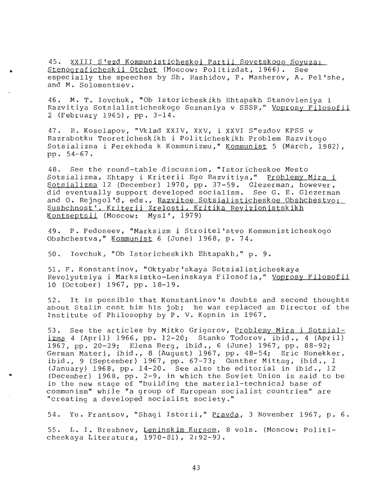45. XXIII S'ezd Kommunisticheskoi Partii Sovetskogo Soyuza : Stenograficheskii Otchet (Moscow: Politizdat, 1966). See especially the speeches by Sh. Rashidov, P. Masherov, A. Pel'she, and M. Solomentsev.

46. M. T. Iovchuk, "Ob Istoricheskikh Ehtapakh Stanovleniya i Razvitiya Sotsialisticheskogo Soznaniya v SSSR," Voprosy Filosofii 2 (February 1965), pp . 3-14 .

47. R. Kosolapov, "Vklad XXIV, XXV, i XXVI S"ezdov KPSS v Razrabotku Teoreticheskikh i Politicheskikh Problem Razvitogo Sotsializma i Perekhoda k Kommunizmu," Kommunist 5 (March, 1982) , pp . 54-67 .

48. See the round-table discussion, "Istoricheskoe Mesto Sotsializma, Ehtapy i Kriterii Ego Razvitiya," Problemy Mirai Sotsializma 12 (December) 1970, pp. 37-59. Glezerman, however, did eventually support developed socialism. See G. E. Glezerman and O. Rejngol'd, eds., Razvitoe Sotsialisticheskoe Obshchestvo: Sushchnost', Kriterii Zrelosti, Kritika Revizionistskikh Kontseptsii (Moscow: Mysl', 1979)

49. P. Fedoseev, "Marksizm i Stroitel'stvo Kommunisticheskogo Obshchestva," Kommunist 6 (June) 1968, p. 74.

50. Iovchuk, "Ob Istoricheskikh Ehtapakh," p. 9.

51. F . Konstantinov, "Oktyabr'skaya Sotsialisticheskay <sup>a</sup> Revolyutsiya i Marksistko-Leninskaya Filosofia," Voprosy Filosofii 10 (October) 1967, pp. 18-19.

52. It is possible that Konstantinov's doubts and second thoughts about Stalin cost him his job; he was replaced as Director of the Institute of Philosophy by P. V. Kopnin in 1967.

53. See the articles by Mitko Grigorov, Problemy Mira i Sotsial $izma$  4 (April) 1966, pp. 12-20; Stanko Todorov, ibid., 4 (April) 1967, pp. 20-29; Elena Berg, ibid., 6 (June) 1967, pp. 88-92; German Materi, ibid., 8 (August) 1967, pp. 48-54; Eric Honekker, ibid., 9 (September) 1967, pp.  $67-73$ ; Gunther Mittag, ibid., 1 (January) 1968, pp. 14-20. See also the editorial in ibid., 12 (December) 1968, pp. 2-9, in which the Soviet Union is said to be in the new stage of "building the material-technical base of communism" while "a group of European socialist countries" are "creating a developed socialist society . "

54. Yu. Frantsov, "Shaqi Istorii," Pravda, 3 November 1967, p. 6.

55. L. I. Brezhnev, Leninskim Kursom, 8 vols. (Moscow: Politicheskaya Literatura, 1970-81), 2:92-93.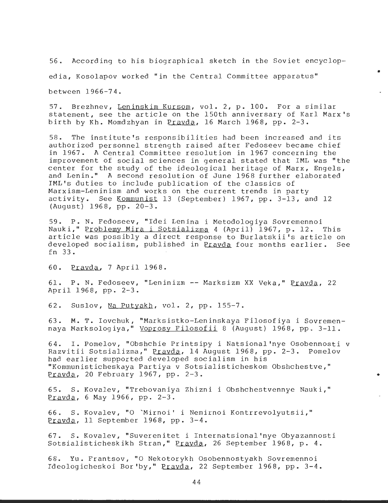56. According to his biographical sketch in the Soviet encyclopedia, Kosolapov worked "in the Central Committee apparatus " between 1966-74 .

57. Brezhnev, Leninskim Kursom, vol. 2, p. 100. For a similar statement, see the article on the 150th anniversary of Karl Marx's birth by Kh. Momdzhyan in Pravda, 16 March 1968, pp. 2-3.

58. The institute's responsibilities had been increased and its authorized personnel strength raised after Fedoseev became chief in 1967. A Central Committee resolution in 1967 concerning the improvement of social sciences in general stated that IML was "the center for the study of the ideological heritage of Marx, Engels , and Lenin." A second resolution of June 1968 further elaborated IML's duties to include publication of the classics of Marxism-Leninism and works on the current trends in party activity. See Kommunist 13 (September) 1967, pp. 3-13, and 12 (August) 1968, pp. 20-3.

59. P. N. Fedoseev, "Idei Lenina i Metodologiya Sovremennoi Nauki," Problemy Mira i Sotsializma 4 (April) 1967, p. 12. This article was possibly a direct response to Burlatskii's article on developed socialism, published in Pravda four months earlier. See fn 33 .

60. Pravda, 7 April 1968 .

61. P. N. Fedoseev, "Leninizm -- Marksizm XX Veka," Pravda, 22 April 1968, pp. 2-3.

62. Suslov, Na Putyakh, vol. 2, pp. 155-7.

63. M. T. Iovchuk, "Marksistko-Leninskaya Filosofiya i Sovremennaya Marksologiya," Voprosy Filosofii 8 (August) 1968, pp. 3-11.

64. <sup>I</sup> . Pomelov, "Obshchie Printsipy i Natsional'nye Osobennosti v Razvitii Sotsializma," Pravda, 14 August 1968, pp. 2-3. Pomelov had earlier supported developed socialism in his "Kommunisticheskaya Partiya v Sotsialisticheskom Obshchestve, " Pravda, 20 February 1967, pp. 2-3.

65. S. Kovalev, "Trebovaniya Zhizni i Obshchestvennye Nauki," Pravda, 6 May 1966, pp.  $2-3$ .

66. S. Kovalev, "O 'Mirnoi' i Nemirnoi Kontrrevolyutsii," Pravda, 11 September 1968, pp. 3-4.

67. S. Kovalev, "Suverenitet i Internatsional'nye Obyazannosti Sotsialisticheskikh Stran," Prayda, 26 September 1968, p. 4.

68. Yu. Frantsov, "O Nekotorykh Osobennostyakh Sovremennoi Ideologicheskoi Bor'by," Pravda, 22 September 1968, pp. 3-4.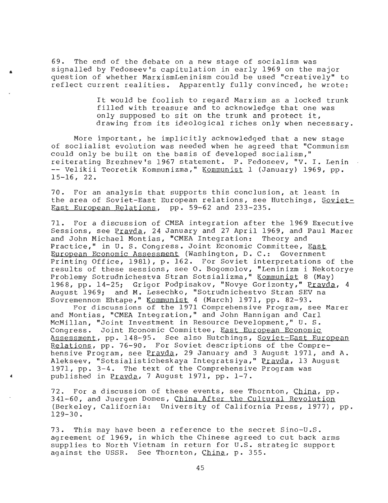69. The end of the debate on a new stage of socialism was signalled by Fedoseev's capitulation in early 1969 on the major question of whether MarxismLeninism could be used "creatively" to reflect current realities. Apparently fully convinced, he wrote:

> It would be foolish to regard Marxism as a locked trunk filled with treasure and to acknowledge that one was only supposed to sit on the trunk and protect it, drawing from its ideological riches only when necessary .

More important, he implicitly acknowledged that a new stage of soclialist evolution was needed when he agreed that "Communism could only be built on the basis of developed socialism, " reiterating Brezhnev's 1967 statement. P. Fedoseev, "V. I. Lenin -- Velikii Teoretik Kommunizma," Kommunist 1 (January) 1969, pp.<br>15-16, 22.

70. For an analysis that supports this conclusion, at least in the area of Soviet-East European relations, see Hutchings, Soviet-<br>East European Relations, pp. 59-62 and 233-235.

71. For a discussion of CMEA integration after the 1969 Executive Sessions, see Prayda, 24 January and 27 April 1969, and Paul Marer and John Michael Montias, "CMEA Integration: Theory and Practice," in U. S. Congress. Joint Economic Committee, East European Economic Assessment (Washington, D. C.: Government Printing Office, 1981), p. 162. For Soviet interpretations of the results of these sessions, see O. Bogomolov, "Leninizm i Nekotorye Problemy Sotrudnichestva Stran Sotsializma," Kommunist 8 (May ) 1968, pp. 14-25; Grigor Podpisakov, "Novye Gorizonty," Pravda, 4 August 1969; and M. Lesechko, "Sotrudnichestvo Stran SEV na Sovremennom Ehtape," Kommunist 4 (March) 1971, pp. 82-93.<br>For discussions of the 1971 Comprehensive Program, see Marer

and Montias, "CMEA Integration," and John Hannigan and Carl McMillan, "Joint Investment in Resource Development," U. S. Congress. Joint Economic Committee, East European Economic Assessment, pp. 148-95. See also Hutchings, Soviet-East European Relations, pp. 76-90. For Soviet descriptions of the Comprehensive Program, see Prayda, 29 January and 3 August 1971, and A. Alekseev, "Sotsialisticheskaya Integratsiya," Prayda, 13 August 1971, pp. 3-4. The text of the Comprehensive Program was published in Prayda, 7 August 1971, pp. 1-7.

72. For a discussion of these events, see Thornton, China, pp.<br>341-60, and Juergen Domes, China After the Cultural Revolution (Berkeley, California: University of California Press, 1977), pp. 129-30.

73. This may have been a reference to the secret Sino-U .S . agreement of 1969, in which the Chinese agreed to cut back arms supplies to North Vietnam in return for U.S. strategic support against the USSR. See Thornton, China, p. 355.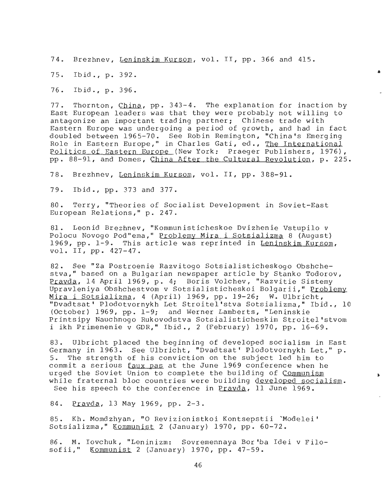74. Brezhnev, Leninskim Kursom, vol . II, pp . 366 and 415 .

75. Ibid., p. 392.

76. Ibid., p. 396.

77. Thornton, China, pp.  $343-4$ . The explanation for inaction by East European leaders was that they were probably not willing to antagonize an important trading partner; Chinese trade with Eastern Europe was undergoing a period of growth, and had in fact doubled between 1965-70. See Robin Remington, "China's Emerging Role in Eastern Europe," in Charles Gati, ed., The International Politics of Eastern Europe (New York: Praeger Publishers, 1976), pp. 88-91, and Domes, China After the Cultural Revolution, p. 225.

78. Brezhnev, Leninskim Kursom, vol. II, pp. 388-91.

79. Ibid ., pp . 373 and 377 .

80. Terry, "Theories of Socialist Development in Soviet-East European Relations," p. 247.

81. Leonid Brezhnev, "Kommunisticheskoe Dvizhenie Vstupilo <sup>v</sup> Polocu Novogo Pod"ema, " Problemy Mira i Sotsializma 8 (August) 1969, pp. 1-9. This article was reprinted in Leninskim Kursom, vol. II, pp. 427-47.

82. See "Za Postroenie Razvitogo Sotsialisticheskogo Obshchestva," based on a Bulgarian newspaper article by Stanko Todorov , Pravda, 14 April 1969, p. 4; Boris Volchev, "Razvitie Sistemy Upravleniya Obshchestvom v Sotsialisticheskoi Bolgarii," Problemy Mira i Sotsializma, 4 (April) 1969, pp. 19-26; W. Ulbricht, "Dvadtsat' Plodotvornykh Let Stroitel'stva Sotsializma," Ibid., 10 (October) 1969, pp.  $1-9$ ; and Werner Lamberts, "Leninskie Printsipy Nauchnogo Rukovodstva Sotsialisticheskim Stroitel'stvom i ikh Primenenie v GDR," Ibid., 2 (February) 1970, pp. 16-69.

83. Ulbricht placed the beginning of developed socialism in East Germany in 1963. See Ulbricht, "Dvadtsat' Plodotvornykh Let," p. 5. The strength of his conviction on the subject led him to commit a serious  $faux$  pas at the June 1969 conference when he urged the Soviet Union to complete the building of Communism while fraternal bloc countries were building developed socialism. See his speech to the conference in Pravda, 11 June 1969 .

84. Pravda, 13 May 1969, pp. 2-3.

85. Kh. Momdzhyan, "O Revizionistkoi Kontsepstii 'Modelei' Sotsializma," Kommunist 2 (January) 1970, pp. 60-72.

86. M. Iovchuk, "Leninizm: Sovremennaya Bor'ba Idei v Filosofii," Kommunist 2 (January) 1970, pp.  $47-59$ .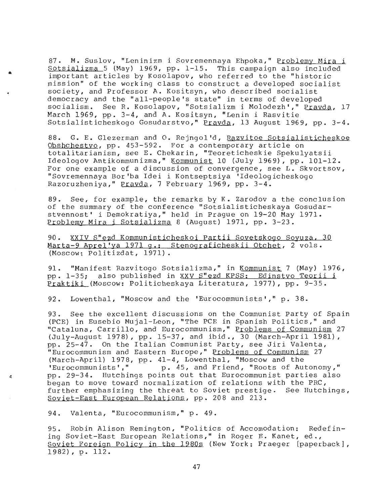87. M. Suslov, "Leninizm i Sovremennaya Ehpoka," Problemy Mira i Sotsializma 5 (May) 1969, pp. 1-15. This campaign also included important articles by Kosolapov, who referred to the "historic mission" of the working class to construct a developed socialist society, and Professor A. Kositsyn, who described socialist democracy and the "all-people's state" in terms of developed socialism. See R. Kosolapov, "Sotsializm i Molodezh'," Pravda, 17 March 1969, pp. 3-4, and A. Kositsyn, "Lenin i Rasvitie Sotsialisticheskogo Gosudarstvo," Prayda, 13 August 1969, pp. 3-4.

88. G. E. Glezerman and O. Rejngol'd, Razvitoe Sotsialisticheskoe Obshchestvo, pp. 453-592. For a contemporary article on totalitarianism, see E. Chekarin, "Teoreticheskie Spekulyatsii<br>Ideologov Antikommunizma," Kommunist 10 (July 1969), pp. 101-12. For one example of a discussion of convergence, see L. Skvortsov,<br>"Sovremennaya Bor'ba Idei i Kontseptsiya 'Ideologicheskogo Razoruzheniya," Pravda, 7 February 1969, pp. 3-4.

89. See, for example, the remarks by K. Zarodov a the conclusion of the summary of the conference "Sotsialisticheskaya Gosudar-<br>stvennost' i Demokratiya," held in Prague on 19-20 May 1971. Problemy Mira i Sotsializma 8 (August) 1971, pp. 3-23.

90. XXIV S"ezd Kommunisticheskoi Partii Sovetskogo Sovuza, 30 Marta-9 Aprel'ya 1971 g .: Stenograficheskii Otchet, 2 vols. (Moscow: Politizdat, 1971).

91. "Manifest Razvitogo Sotsializma," in Kommunist 7 (May) 1976, pp. 1-35; also published in XXV S"ezd KPSS: Edinstvo Teorii i Praktiki (Moscow: Politicheskaya Literatura, 1977), pp. 9-35.

92. Lowenthal, "Moscow and the 'Eurocommunists'," p. 38.

93. See the excellent discussions on the Communist Party of Spain (PCE) in Eusebio Mujal-Leon, " The PCE in Spanish Politics," and "Cataluna, Carrillo, and Eurocommunism," P<u>roblems of Communism</u> 27 (July-August 1978), pp. 15-37, and ibid., 30 (March-April 1981), pp. 25-47. On the Italian Communist Party, see Jiri Valenta, "Eurocommunism and Eastern Europe," Problems of Communism 27 (March-April) 1978, pp.  $41-4$ , Lowenthal, "Moscow and the 'Eurocommunists'," p. 45, and Friend, "Roots of Au p. 45, and Friend, "Roots of Autonomy," pp. 29-34. Hutchings points out that Eurocommunist parties also began to move toward normalization of relations with the PRC, further emphasizing the threat to Soviet prestige. See Hutchings, Soviet-East European Relations, pp. 208 and 213.

94. Valenta, "Eurocommunism," p. 49.

95. Robin Alison Remington, "Politics of Accomodation: Redefin-<br>ing Soviet-East European Relations," in Roger E. Kanet, ed., Soviet Foreign Policy in the 1980s (New York: Praeger [paperback], 1982), p. 112.